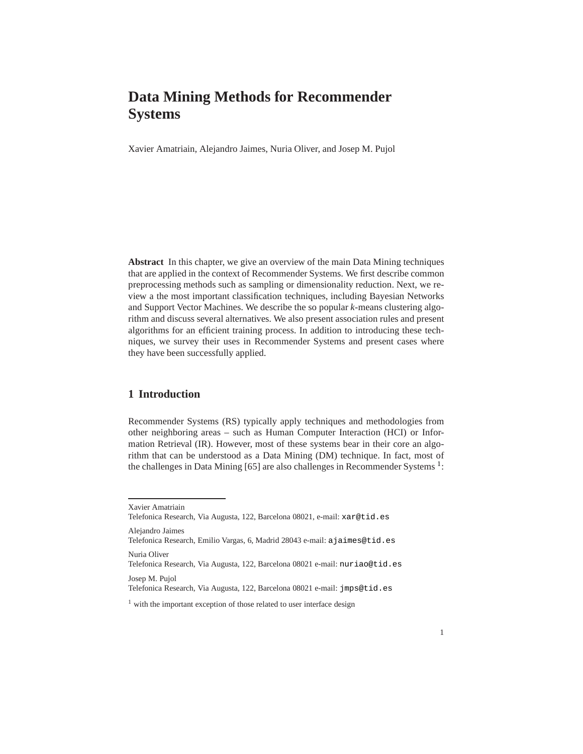# **Data Mining Methods for Recommender Systems**

Xavier Amatriain, Alejandro Jaimes, Nuria Oliver, and Josep M. Pujol

**Abstract** In this chapter, we give an overview of the main Data Mining techniques that are applied in the context of Recommender Systems. We first describe common preprocessing methods such as sampling or dimensionality reduction. Next, we review a the most important classification techniques, including Bayesian Networks and Support Vector Machines. We describe the so popular *k*-means clustering algorithm and discuss several alternatives. We also present association rules and present algorithms for an efficient training process. In addition to introducing these techniques, we survey their uses in Recommender Systems and present cases where they have been successfully applied.

# **1 Introduction**

Recommender Systems (RS) typically apply techniques and methodologies from other neighboring areas – such as Human Computer Interaction (HCI) or Information Retrieval (IR). However, most of these systems bear in their core an algorithm that can be understood as a Data Mining (DM) technique. In fact, most of the challenges in Data Mining [65] are also challenges in Recommender Systems  $1$ :

Xavier Amatriain Telefonica Research, Via Augusta, 122, Barcelona 08021, e-mail: <xar@tid.es> Alejandro Jaimes Telefonica Research, Emilio Vargas, 6, Madrid 28043 e-mail: <ajaimes@tid.es> Nuria Oliver Telefonica Research, Via Augusta, 122, Barcelona 08021 e-mail: <nuriao@tid.es> Josep M. Pujol

Telefonica Research, Via Augusta, 122, Barcelona 08021 e-mail: <jmps@tid.es>

<sup>&</sup>lt;sup>1</sup> with the important exception of those related to user interface design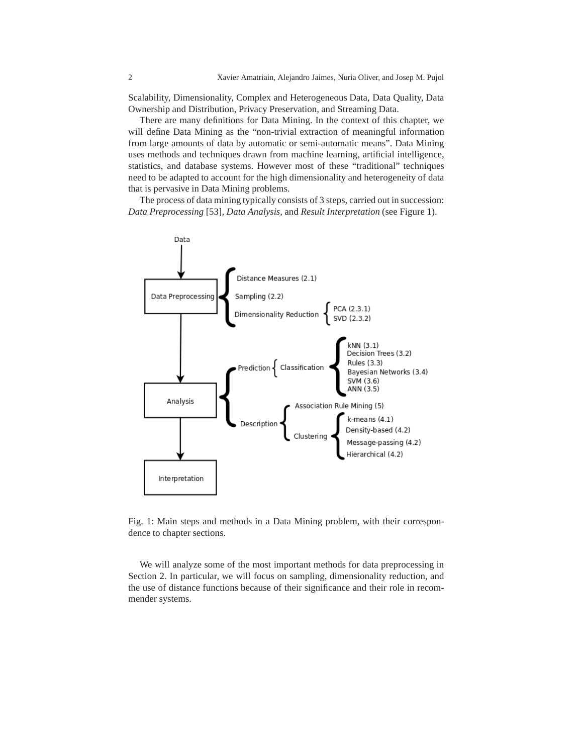Scalability, Dimensionality, Complex and Heterogeneous Data, Data Quality, Data Ownership and Distribution, Privacy Preservation, and Streaming Data.

There are many definitions for Data Mining. In the context of this chapter, we will define Data Mining as the "non-trivial extraction of meaningful information from large amounts of data by automatic or semi-automatic means". Data Mining uses methods and techniques drawn from machine learning, artificial intelligence, statistics, and database systems. However most of these "traditional" techniques need to be adapted to account for the high dimensionality and heterogeneity of data that is pervasive in Data Mining problems.

The process of data mining typically consists of 3 steps, carried out in succession: *Data Preprocessing* [53], *Data Analysis*, and *Result Interpretation* (see Figure [1\)](#page-1-0).



<span id="page-1-0"></span>Fig. 1: Main steps and methods in a Data Mining problem, with their correspondence to chapter sections.

We will analyze some of the most important methods for data preprocessing in Section [2.](#page-2-0) In particular, we will focus on sampling, dimensionality reduction, and the use of distance functions because of their significance and their role in recommender systems.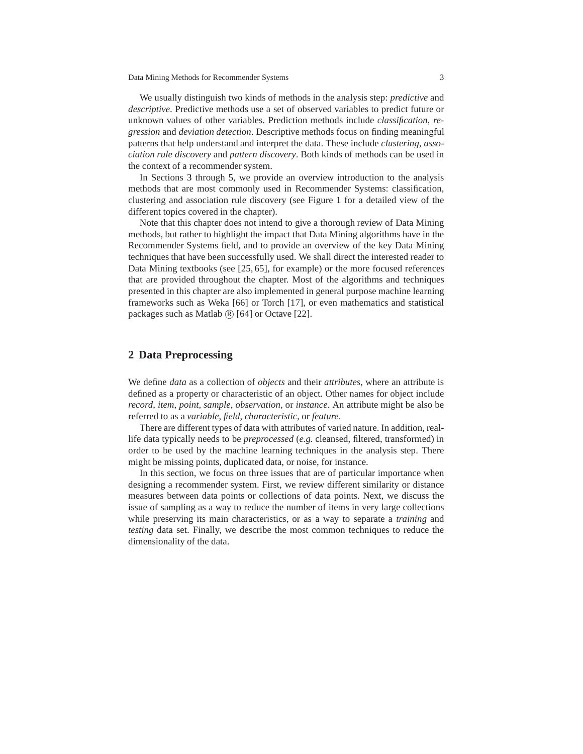Data Mining Methods for Recommender Systems 3

We usually distinguish two kinds of methods in the analysis step: *predictive* and *descriptive*. Predictive methods use a set of observed variables to predict future or unknown values of other variables. Prediction methods include *classification*, *regression* and *deviation detection*. Descriptive methods focus on finding meaningful patterns that help understand and interpret the data. These include *clustering*, *association rule discovery* and *pattern discovery*. Both kinds of methods can be used in the context of a recommender system.

In Sections [3](#page-10-0) through [5,](#page-36-0) we provide an overview introduction to the analysis methods that are most commonly used in Recommender Systems: classification, clustering and association rule discovery (see Figure [1](#page-1-0) for a detailed view of the different topics covered in the chapter).

Note that this chapter does not intend to give a thorough review of Data Mining methods, but rather to highlight the impact that Data Mining algorithms have in the Recommender Systems field, and to provide an overview of the key Data Mining techniques that have been successfully used. We shall direct the interested reader to Data Mining textbooks (see [25, 65], for example) or the more focused references that are provided throughout the chapter. Most of the algorithms and techniques presented in this chapter are also implemented in general purpose machine learning frameworks such as Weka [66] or Torch [17], or even mathematics and statistical packages such as Matlab  $(R)$  [64] or Octave [22].

# <span id="page-2-0"></span>**2 Data Preprocessing**

We define *data* as a collection of *objects* and their *attributes*, where an attribute is defined as a property or characteristic of an object. Other names for object include *record*, *item*, *point*, *sample*, *observation*, or *instance*. An attribute might be also be referred to as a *variable*, *field*, *characteristic*, or *feature*.

There are different types of data with attributes of varied nature. In addition, reallife data typically needs to be *preprocessed* (*e.g.* cleansed, filtered, transformed) in order to be used by the machine learning techniques in the analysis step. There might be missing points, duplicated data, or noise, for instance.

In this section, we focus on three issues that are of particular importance when designing a recommender system. First, we review different similarity or distance measures between data points or collections of data points. Next, we discuss the issue of sampling as a way to reduce the number of items in very large collections while preserving its main characteristics, or as a way to separate a *training* and *testing* data set. Finally, we describe the most common techniques to reduce the dimensionality of the data.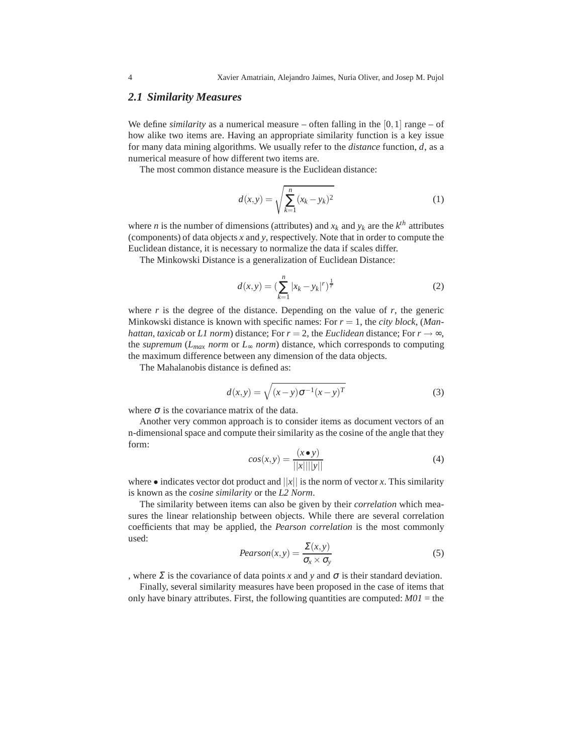#### <span id="page-3-2"></span>*2.1 Similarity Measures*

We define *similarity* as a numerical measure – often falling in the  $[0,1]$  range – of how alike two items are. Having an appropriate similarity function is a key issue for many data mining algorithms. We usually refer to the *distance* function, *d*, as a numerical measure of how different two items are.

The most common distance measure is the Euclidean distance:

$$
d(x, y) = \sqrt{\sum_{k=1}^{n} (x_k - y_k)^2}
$$
 (1)

where *n* is the number of dimensions (attributes) and  $x_k$  and  $y_k$  are the  $k^{th}$  attributes (components) of data objects *x* and *y*, respectively. Note that in order to compute the Euclidean distance, it is necessary to normalize the data if scales differ.

The Minkowski Distance is a generalization of Euclidean Distance:

$$
d(x, y) = \left(\sum_{k=1}^{n} |x_k - y_k|^r\right)^{\frac{1}{r}}
$$
 (2)

where  $r$  is the degree of the distance. Depending on the value of  $r$ , the generic Minkowski distance is known with specific names: For  $r = 1$ , the *city block*, (*Manhattan*, *taxicab* or *L1 norm*) distance; For  $r = 2$ , the *Euclidean* distance; For  $r \rightarrow \infty$ , the *supremum* (*Lmax norm* or *L*<sup>∞</sup> *norm*) distance, which corresponds to computing the maximum difference between any dimension of the data objects.

The Mahalanobis distance is defined as:

$$
d(x,y) = \sqrt{(x-y)\sigma^{-1}(x-y)^T}
$$
 (3)

where  $\sigma$  is the covariance matrix of the data.

Another very common approach is to consider items as document vectors of an n-dimensional space and compute their similarity as the cosine of the angle that they form:

$$
cos(x, y) = \frac{(x \bullet y)}{||x|| ||y||}
$$
 (4)

<span id="page-3-0"></span>where • indicates vector dot product and  $||x||$  is the norm of vector *x*. This similarity is known as the *cosine similarity* or the *L2 Norm*.

The similarity between items can also be given by their *correlation* which measures the linear relationship between objects. While there are several correlation coefficients that may be applied, the *Pearson correlation* is the most commonly used:

$$
Pearson(x, y) = \frac{\Sigma(x, y)}{\sigma_x \times \sigma_y}
$$
\n(5)

<span id="page-3-1"></span>, where  $\Sigma$  is the covariance of data points *x* and *y* and  $\sigma$  is their standard deviation.

Finally, several similarity measures have been proposed in the case of items that only have binary attributes. First, the following quantities are computed:  $M0I$  = the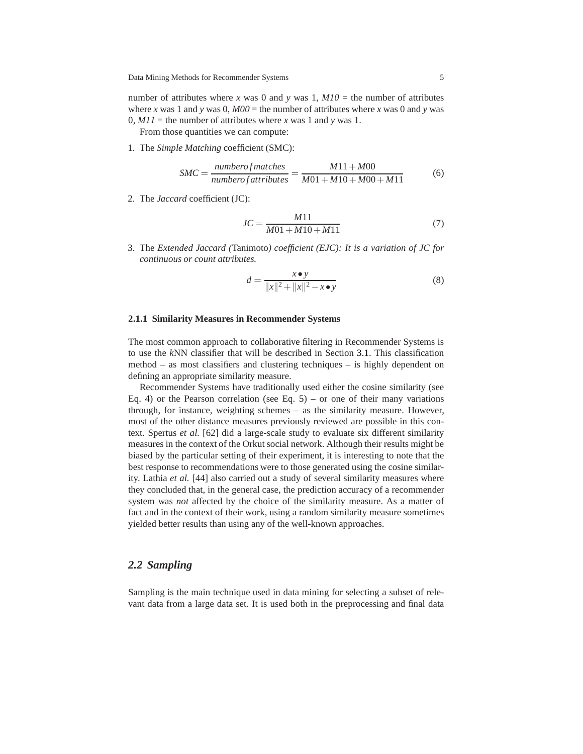number of attributes where *x* was 0 and *y* was 1,  $M10$  = the number of attributes where *x* was 1 and *y* was 0,  $M00$  = the number of attributes where *x* was 0 and *y* was  $0, M11$  = the number of attributes where *x* was 1 and *y* was 1.

From those quantities we can compute:

1. The *Simple Matching* coefficient (SMC):

$$
SMC = \frac{numberof matches}{numberof attributes} = \frac{M11 + M00}{M01 + M10 + M00 + M11}
$$
(6)

2. The *Jaccard* coefficient (JC):

$$
JC = \frac{M11}{M01 + M10 + M11}
$$
 (7)

3. The *Extended Jaccard (*Tanimoto*) coefficient (EJC): It is a variation of JC for continuous or count attributes.*

$$
d = \frac{x \bullet y}{\|x\|^2 + \|x\|^2 - x \bullet y} \tag{8}
$$

#### **2.1.1 Similarity Measures in Recommender Systems**

The most common approach to collaborative filtering in Recommender Systems is to use the *k*NN classifier that will be described in Section [3.1.](#page-11-0) This classification method – as most classifiers and clustering techniques – is highly dependent on defining an appropriate similarity measure.

Recommender Systems have traditionally used either the cosine similarity (see Eq. [4\)](#page-3-0) or the Pearson correlation (see Eq.  $5$ ) – or one of their many variations through, for instance, weighting schemes – as the similarity measure. However, most of the other distance measures previously reviewed are possible in this context. Spertus *et al.* [62] did a large-scale study to evaluate six different similarity measures in the context of the Orkut social network. Although their results might be biased by the particular setting of their experiment, it is interesting to note that the best response to recommendations were to those generated using the cosine similarity. Lathia *et al.* [44] also carried out a study of several similarity measures where they concluded that, in the general case, the prediction accuracy of a recommender system was *not* affected by the choice of the similarity measure. As a matter of fact and in the context of their work, using a random similarity measure sometimes yielded better results than using any of the well-known approaches.

# <span id="page-4-0"></span>*2.2 Sampling*

Sampling is the main technique used in data mining for selecting a subset of relevant data from a large data set. It is used both in the preprocessing and final data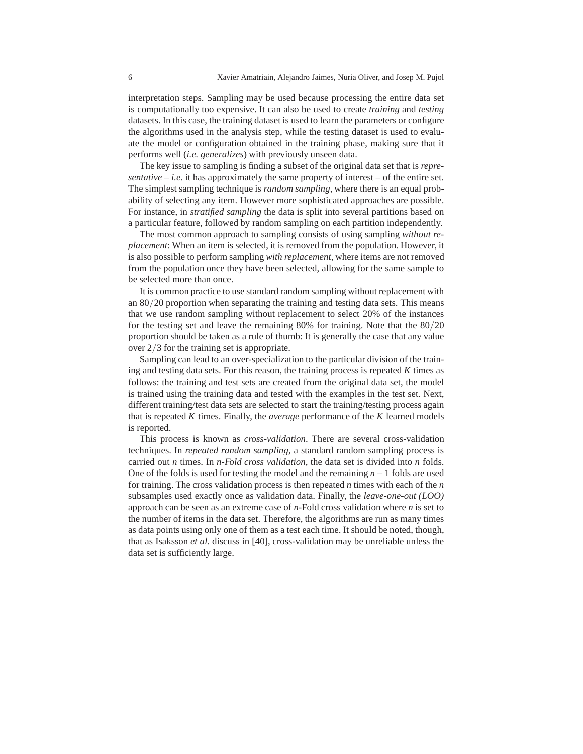interpretation steps. Sampling may be used because processing the entire data set is computationally too expensive. It can also be used to create *training* and *testing* datasets. In this case, the training dataset is used to learn the parameters or configure the algorithms used in the analysis step, while the testing dataset is used to evaluate the model or configuration obtained in the training phase, making sure that it performs well (*i.e. generalizes*) with previously unseen data.

The key issue to sampling is finding a subset of the original data set that is *representative* – *i.e.* it has approximately the same property of interest – of the entire set. The simplest sampling technique is *random sampling*, where there is an equal probability of selecting any item. However more sophisticated approaches are possible. For instance, in *stratified sampling* the data is split into several partitions based on a particular feature, followed by random sampling on each partition independently.

The most common approach to sampling consists of using sampling *without replacement*: When an item is selected, it is removed from the population. However, it is also possible to perform sampling *with replacement*, where items are not removed from the population once they have been selected, allowing for the same sample to be selected more than once.

It is common practice to use standard random sampling without replacement with an 80/20 proportion when separating the training and testing data sets. This means that we use random sampling without replacement to select 20% of the instances for the testing set and leave the remaining 80% for training. Note that the 80/20 proportion should be taken as a rule of thumb: It is generally the case that any value over 2/3 for the training set is appropriate.

Sampling can lead to an over-specialization to the particular division of the training and testing data sets. For this reason, the training process is repeated *K* times as follows: the training and test sets are created from the original data set, the model is trained using the training data and tested with the examples in the test set. Next, different training/test data sets are selected to start the training/testing process again that is repeated *K* times. Finally, the *average* performance of the *K* learned models is reported.

This process is known as *cross-validation*. There are several cross-validation techniques. In *repeated random sampling*, a standard random sampling process is carried out *n* times. In *n-Fold cross validation*, the data set is divided into *n* folds. One of the folds is used for testing the model and the remaining *n*−1 folds are used for training. The cross validation process is then repeated *n* times with each of the *n* subsamples used exactly once as validation data. Finally, the *leave-one-out (LOO)* approach can be seen as an extreme case of *n*-Fold cross validation where *n* is set to the number of items in the data set. Therefore, the algorithms are run as many times as data points using only one of them as a test each time. It should be noted, though, that as Isaksson *et al.* discuss in [40], cross-validation may be unreliable unless the data set is sufficiently large.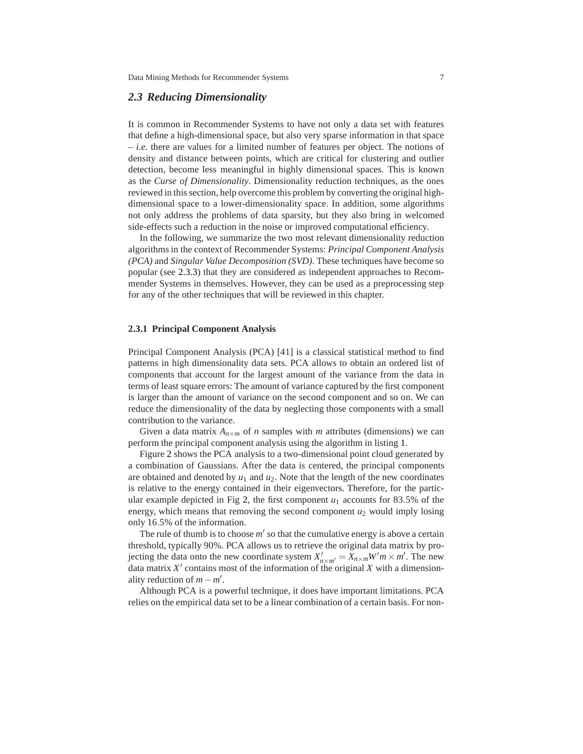#### <span id="page-6-0"></span>*2.3 Reducing Dimensionality*

It is common in Recommender Systems to have not only a data set with features that define a high-dimensional space, but also very sparse information in that space – *i.e.* there are values for a limited number of features per object. The notions of density and distance between points, which are critical for clustering and outlier detection, become less meaningful in highly dimensional spaces. This is known as the *Curse of Dimensionality*. Dimensionality reduction techniques, as the ones reviewed in this section, help overcome this problem by converting the original highdimensional space to a lower-dimensionality space. In addition, some algorithms not only address the problems of data sparsity, but they also bring in welcomed side-effects such a reduction in the noise or improved computational efficiency.

In the following, we summarize the two most relevant dimensionality reduction algorithms in the context of Recommender Systems: *Principal Component Analysis (PCA)* and *Singular Value Decomposition (SVD)*. These techniques have become so popular (see [2.3.3\)](#page-9-0) that they are considered as independent approaches to Recommender Systems in themselves. However, they can be used as a preprocessing step for any of the other techniques that will be reviewed in this chapter.

#### **2.3.1 Principal Component Analysis**

Principal Component Analysis (PCA) [41] is a classical statistical method to find patterns in high dimensionality data sets. PCA allows to obtain an ordered list of components that account for the largest amount of the variance from the data in terms of least square errors: The amount of variance captured by the first component is larger than the amount of variance on the second component and so on. We can reduce the dimensionality of the data by neglecting those components with a small contribution to the variance.

Given a data matrix  $A_{n\times m}$  of *n* samples with *m* attributes (dimensions) we can perform the principal component analysis using the algorithm in listing [1.](#page-7-0)

Figure [2](#page-7-1) shows the PCA analysis to a two-dimensional point cloud generated by a combination of Gaussians. After the data is centered, the principal components are obtained and denoted by  $u_1$  and  $u_2$ . Note that the length of the new coordinates is relative to the energy contained in their eigenvectors. Therefore, for the partic-ular example depicted in Fig [2,](#page-7-1) the first component  $u_1$  accounts for 83.5% of the energy, which means that removing the second component  $u_2$  would imply losing only 16.5% of the information.

The rule of thumb is to choose  $m'$  so that the cumulative energy is above a certain threshold, typically 90%. PCA allows us to retrieve the original data matrix by projecting the data onto the new coordinate system  $X'_{n \times m'} = X_{n \times m} W' m \times m'$ . The new data matrix  $X'$  contains most of the information of the original  $X$  with a dimensionality reduction of  $m - m'$ .

Although PCA is a powerful technique, it does have important limitations. PCA relies on the empirical data set to be a linear combination of a certain basis. For non-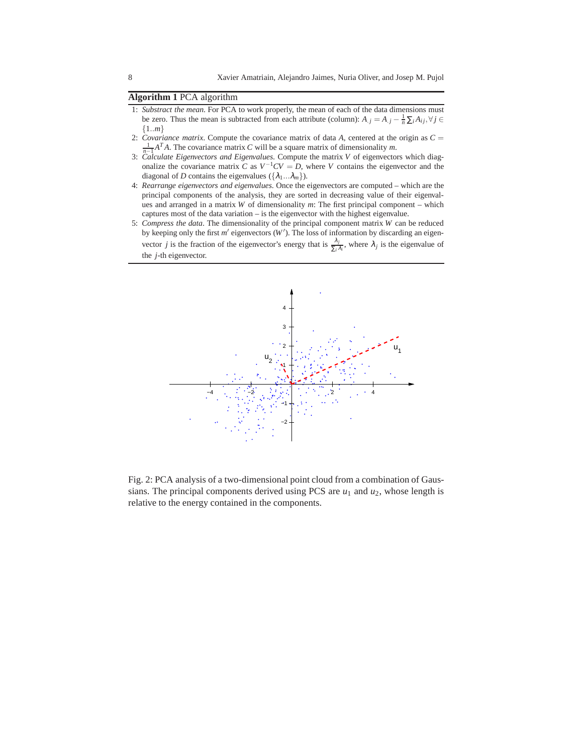### <span id="page-7-0"></span>**Algorithm 1** PCA algorithm

- 1: *Substract the mean*. For PCA to work properly, the mean of each of the data dimensions must be zero. Thus the mean is subtracted from each attribute (column):  $A_{.j} = A_{.j} - \frac{1}{n} \sum_i A_{ij}$ ,  $\forall j \in$ {1..*m*}
- 2: *Covariance matrix*. Compute the covariance matrix of data  $A$ , centered at the origin as  $C =$  $\frac{1}{n-1}A^T A$ . The covariance matrix *C* will be a square matrix of dimensionality *m*.
- 3: *Calculate Eigenvectors and Eigenvalues*. Compute the matrix *V* of eigenvectors which diagonalize the covariance matrix *C* as  $V^{-1}CV = D$ , where *V* contains the eigenvector and the diagonal of *D* contains the eigenvalues ( $\{\lambda_1...\lambda_m\}$ ).
- 4: *Rearrange eigenvectors and eigenvalues*. Once the eigenvectors are computed which are the principal components of the analysis, they are sorted in decreasing value of their eigenvalues and arranged in a matrix *W* of dimensionality *m*: The first principal component – which captures most of the data variation – is the eigenvector with the highest eigenvalue.
- 5: *Compress the data*. The dimensionality of the principal component matrix *W* can be reduced by keeping only the first *m'* eigenvectors (*W'*). The loss of information by discarding an eigenvector *j* is the fraction of the eigenvector's energy that is  $\frac{\lambda_j}{\sum_i \lambda_i}$ , where  $\lambda_j$  is the eigenvalue of the *j*-th eigenvector.



<span id="page-7-1"></span>Fig. 2: PCA analysis of a two-dimensional point cloud from a combination of Gaussians. The principal components derived using PCS are  $u_1$  and  $u_2$ , whose length is relative to the energy contained in the components.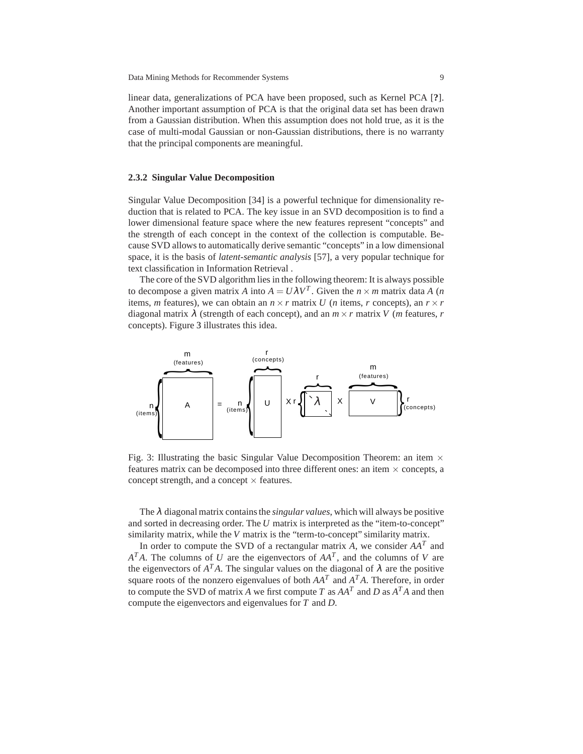linear data, generalizations of PCA have been proposed, such as Kernel PCA [**?**]. Another important assumption of PCA is that the original data set has been drawn from a Gaussian distribution. When this assumption does not hold true, as it is the case of multi-modal Gaussian or non-Gaussian distributions, there is no warranty that the principal components are meaningful.

### **2.3.2 Singular Value Decomposition**

Singular Value Decomposition [34] is a powerful technique for dimensionality reduction that is related to PCA. The key issue in an SVD decomposition is to find a lower dimensional feature space where the new features represent "concepts" and the strength of each concept in the context of the collection is computable. Because SVD allows to automatically derive semantic "concepts" in a low dimensional space, it is the basis of *latent-semantic analysis* [57], a very popular technique for text classification in Information Retrieval .

The core of the SVD algorithm lies in the following theorem: It is always possible to decompose a given matrix *A* into  $A = U\lambda V^T$ . Given the  $n \times m$  matrix data *A* (*n*) items, *m* features), we can obtain an  $n \times r$  matrix *U* (*n* items, *r* concepts), an  $r \times r$ diagonal matrix  $\lambda$  (strength of each concept), and an  $m \times r$  matrix *V* (*m* features, *r* concepts). Figure [3](#page-8-0) illustrates this idea.



<span id="page-8-0"></span>Fig. 3: Illustrating the basic Singular Value Decomposition Theorem: an item  $\times$ features matrix can be decomposed into three different ones: an item  $\times$  concepts, a concept strength, and a concept  $\times$  features.

The  $\lambda$  diagonal matrix contains the *singular values*, which will always be positive and sorted in decreasing order. The *U* matrix is interpreted as the "item-to-concept" similarity matrix, while the *V* matrix is the "term-to-concept" similarity matrix.

In order to compute the SVD of a rectangular matrix *A*, we consider *AA<sup>T</sup>* and  $A<sup>T</sup>A$ . The columns of *U* are the eigenvectors of  $AA<sup>T</sup>$ , and the columns of *V* are the eigenvectors of  $A<sup>T</sup>A$ . The singular values on the diagonal of  $\lambda$  are the positive square roots of the nonzero eigenvalues of both  $AA<sup>T</sup>$  and  $A<sup>T</sup>A$ . Therefore, in order to compute the SVD of matrix *A* we first compute *T* as  $AA<sup>T</sup>$  and *D* as  $A<sup>T</sup>A$  and then compute the eigenvectors and eigenvalues for *T* and *D*.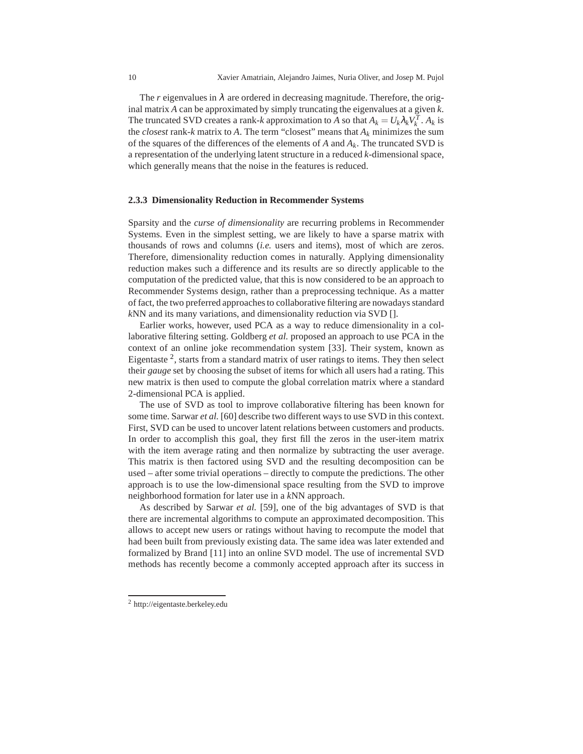The *r* eigenvalues in  $\lambda$  are ordered in decreasing magnitude. Therefore, the original matrix *A* can be approximated by simply truncating the eigenvalues at a given *k*. The truncated SVD creates a rank-*k* approximation to *A* so that  $A_k = U_k \lambda_k V_k^T$ .  $A_k$  is the *closest* rank-*k* matrix to *A*. The term "closest" means that  $A_k$  minimizes the sum of the squares of the differences of the elements of *A* and *A<sup>k</sup>* . The truncated SVD is a representation of the underlying latent structure in a reduced *k*-dimensional space, which generally means that the noise in the features is reduced.

#### <span id="page-9-0"></span>**2.3.3 Dimensionality Reduction in Recommender Systems**

Sparsity and the *curse of dimensionality* are recurring problems in Recommender Systems. Even in the simplest setting, we are likely to have a sparse matrix with thousands of rows and columns (*i.e.* users and items), most of which are zeros. Therefore, dimensionality reduction comes in naturally. Applying dimensionality reduction makes such a difference and its results are so directly applicable to the computation of the predicted value, that this is now considered to be an approach to Recommender Systems design, rather than a preprocessing technique. As a matter of fact, the two preferred approaches to collaborative filtering are nowadays standard *k*NN and its many variations, and dimensionality reduction via SVD [].

Earlier works, however, used PCA as a way to reduce dimensionality in a collaborative filtering setting. Goldberg *et al.* proposed an approach to use PCA in the context of an online joke recommendation system [33]. Their system, known as Eigentaste<sup>2</sup>, starts from a standard matrix of user ratings to items. They then select their *gauge* set by choosing the subset of items for which all users had a rating. This new matrix is then used to compute the global correlation matrix where a standard 2-dimensional PCA is applied.

The use of SVD as tool to improve collaborative filtering has been known for some time. Sarwar *et al.* [60] describe two different ways to use SVD in this context. First, SVD can be used to uncover latent relations between customers and products. In order to accomplish this goal, they first fill the zeros in the user-item matrix with the item average rating and then normalize by subtracting the user average. This matrix is then factored using SVD and the resulting decomposition can be used – after some trivial operations – directly to compute the predictions. The other approach is to use the low-dimensional space resulting from the SVD to improve neighborhood formation for later use in a *k*NN approach.

As described by Sarwar *et al.* [59], one of the big advantages of SVD is that there are incremental algorithms to compute an approximated decomposition. This allows to accept new users or ratings without having to recompute the model that had been built from previously existing data. The same idea was later extended and formalized by Brand [11] into an online SVD model. The use of incremental SVD methods has recently become a commonly accepted approach after its success in

<sup>2</sup> http://eigentaste.berkeley.edu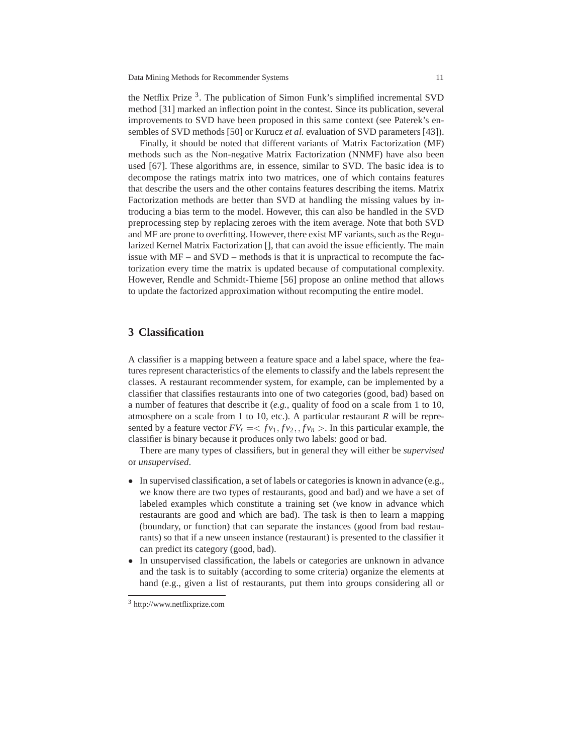the Netflix Prize<sup>3</sup>. The publication of Simon Funk's simplified incremental SVD method [31] marked an inflection point in the contest. Since its publication, several improvements to SVD have been proposed in this same context (see Paterek's ensembles of SVD methods [50] or Kurucz *et al.* evaluation of SVD parameters [43]).

Finally, it should be noted that different variants of Matrix Factorization (MF) methods such as the Non-negative Matrix Factorization (NNMF) have also been used [67]. These algorithms are, in essence, similar to SVD. The basic idea is to decompose the ratings matrix into two matrices, one of which contains features that describe the users and the other contains features describing the items. Matrix Factorization methods are better than SVD at handling the missing values by introducing a bias term to the model. However, this can also be handled in the SVD preprocessing step by replacing zeroes with the item average. Note that both SVD and MF are prone to overfitting. However, there exist MF variants, such as the Regularized Kernel Matrix Factorization [], that can avoid the issue efficiently. The main issue with MF – and SVD – methods is that it is unpractical to recompute the factorization every time the matrix is updated because of computational complexity. However, Rendle and Schmidt-Thieme [56] propose an online method that allows to update the factorized approximation without recomputing the entire model.

# <span id="page-10-0"></span>**3 Classification**

A classifier is a mapping between a feature space and a label space, where the features represent characteristics of the elements to classify and the labels represent the classes. A restaurant recommender system, for example, can be implemented by a classifier that classifies restaurants into one of two categories (good, bad) based on a number of features that describe it (*e.g.*, quality of food on a scale from 1 to 10, atmosphere on a scale from 1 to 10, etc.). A particular restaurant *R* will be represented by a feature vector  $FV_r = \langle f v_1, f v_2, f v_n \rangle$ . In this particular example, the classifier is binary because it produces only two labels: good or bad.

There are many types of classifiers, but in general they will either be *supervised* or *unsupervised*.

- In supervised classification, a set of labels or categories is known in advance (e.g., we know there are two types of restaurants, good and bad) and we have a set of labeled examples which constitute a training set (we know in advance which restaurants are good and which are bad). The task is then to learn a mapping (boundary, or function) that can separate the instances (good from bad restaurants) so that if a new unseen instance (restaurant) is presented to the classifier it can predict its category (good, bad).
- In unsupervised classification, the labels or categories are unknown in advance and the task is to suitably (according to some criteria) organize the elements at hand (e.g., given a list of restaurants, put them into groups considering all or

<sup>3</sup> http://www.netflixprize.com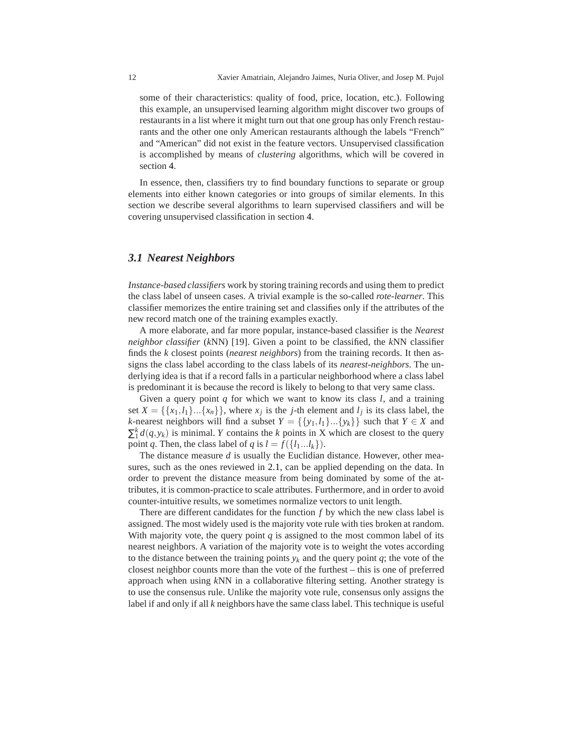some of their characteristics: quality of food, price, location, etc.). Following this example, an unsupervised learning algorithm might discover two groups of restaurants in a list where it might turn out that one group has only French restaurants and the other one only American restaurants although the labels "French" and "American" did not exist in the feature vectors. Unsupervised classification is accomplished by means of *clustering* algorithms, which will be covered in section [4.](#page-31-0)

In essence, then, classifiers try to find boundary functions to separate or group elements into either known categories or into groups of similar elements. In this section we describe several algorithms to learn supervised classifiers and will be covering unsupervised classification in section [4.](#page-31-0)

# <span id="page-11-0"></span>*3.1 Nearest Neighbors*

*Instance-based classifiers* work by storing training records and using them to predict the class label of unseen cases. A trivial example is the so-called *rote-learner*. This classifier memorizes the entire training set and classifies only if the attributes of the new record match one of the training examples exactly.

A more elaborate, and far more popular, instance-based classifier is the *Nearest neighbor classifier* (*k*NN) [19]. Given a point to be classified, the *k*NN classifier finds the *k* closest points (*nearest neighbors*) from the training records. It then assigns the class label according to the class labels of its *nearest-neighbors*. The underlying idea is that if a record falls in a particular neighborhood where a class label is predominant it is because the record is likely to belong to that very same class.

Given a query point *q* for which we want to know its class *l*, and a training set  $X = \{\{x_1, l_1\}...\{x_n\}\}\,$ , where  $x_j$  is the *j*-th element and  $l_j$  is its class label, the *k*-nearest neighbors will find a subset  $Y = \{\{y_1, l_1\}...\{y_k\}\}\$  such that  $Y \in X$  and  $\sum_{i=1}^{k} d(q, y_k)$  is minimal. *Y* contains the *k* points in *X* which are closest to the query point *q*. Then, the class label of *q* is  $l = f({l_1...l_k})$ .

The distance measure *d* is usually the Euclidian distance. However, other measures, such as the ones reviewed in [2.1,](#page-3-2) can be applied depending on the data. In order to prevent the distance measure from being dominated by some of the attributes, it is common-practice to scale attributes. Furthermore, and in order to avoid counter-intuitive results, we sometimes normalize vectors to unit length.

There are different candidates for the function *f* by which the new class label is assigned. The most widely used is the majority vote rule with ties broken at random. With majority vote, the query point  $q$  is assigned to the most common label of its nearest neighbors. A variation of the majority vote is to weight the votes according to the distance between the training points  $y_k$  and the query point *q*; the vote of the closest neighbor counts more than the vote of the furthest – this is one of preferred approach when using *k*NN in a collaborative filtering setting. Another strategy is to use the consensus rule. Unlike the majority vote rule, consensus only assigns the label if and only if all *k* neighbors have the same class label. This technique is useful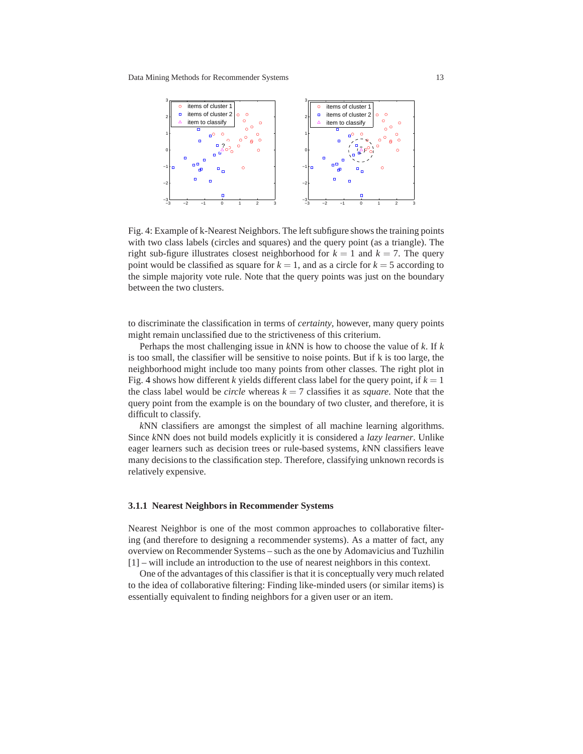

<span id="page-12-0"></span>Fig. 4: Example of k-Nearest Neighbors. The left subfigure shows the training points with two class labels (circles and squares) and the query point (as a triangle). The right sub-figure illustrates closest neighborhood for  $k = 1$  and  $k = 7$ . The query point would be classified as square for  $k = 1$ , and as a circle for  $k = 5$  according to the simple majority vote rule. Note that the query points was just on the boundary between the two clusters.

to discriminate the classification in terms of *certainty*, however, many query points might remain unclassified due to the strictiveness of this criterium.

Perhaps the most challenging issue in *k*NN is how to choose the value of *k*. If *k* is too small, the classifier will be sensitive to noise points. But if  $k$  is too large, the neighborhood might include too many points from other classes. The right plot in Fig. [4](#page-12-0) shows how different *k* yields different class label for the query point, if  $k = 1$ the class label would be *circle* whereas  $k = 7$  classifies it as *square*. Note that the query point from the example is on the boundary of two cluster, and therefore, it is difficult to classify.

*k*NN classifiers are amongst the simplest of all machine learning algorithms. Since *k*NN does not build models explicitly it is considered a *lazy learner*. Unlike eager learners such as decision trees or rule-based systems, *k*NN classifiers leave many decisions to the classification step. Therefore, classifying unknown records is relatively expensive.

### **3.1.1 Nearest Neighbors in Recommender Systems**

Nearest Neighbor is one of the most common approaches to collaborative filtering (and therefore to designing a recommender systems). As a matter of fact, any overview on Recommender Systems – such as the one by Adomavicius and Tuzhilin [1] – will include an introduction to the use of nearest neighbors in this context.

One of the advantages of this classifier is that it is conceptually very much related to the idea of collaborative filtering: Finding like-minded users (or similar items) is essentially equivalent to finding neighbors for a given user or an item.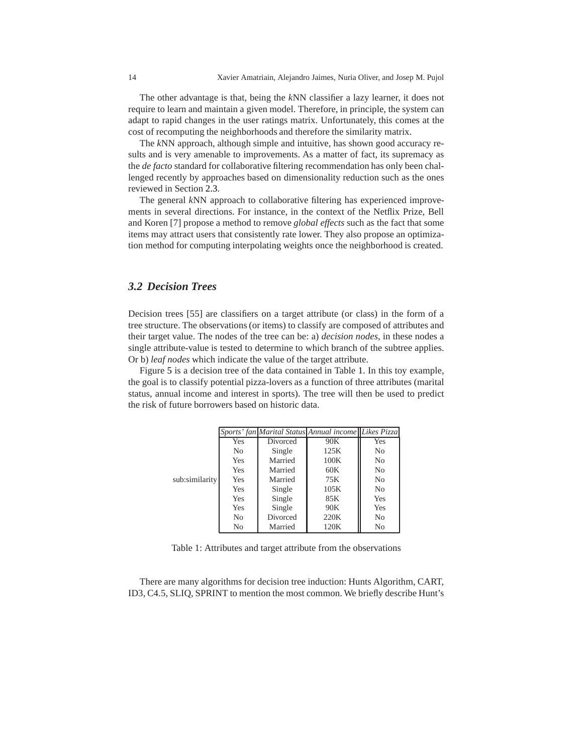The other advantage is that, being the *k*NN classifier a lazy learner, it does not require to learn and maintain a given model. Therefore, in principle, the system can adapt to rapid changes in the user ratings matrix. Unfortunately, this comes at the cost of recomputing the neighborhoods and therefore the similarity matrix.

The *k*NN approach, although simple and intuitive, has shown good accuracy results and is very amenable to improvements. As a matter of fact, its supremacy as the *de facto* standard for collaborative filtering recommendation has only been challenged recently by approaches based on dimensionality reduction such as the ones reviewed in Section [2.3.](#page-6-0)

The general *k*NN approach to collaborative filtering has experienced improvements in several directions. For instance, in the context of the Netflix Prize, Bell and Koren [7] propose a method to remove *global effects* such as the fact that some items may attract users that consistently rate lower. They also propose an optimization method for computing interpolating weights once the neighborhood is created.

# <span id="page-13-1"></span>*3.2 Decision Trees*

Decision trees [55] are classifiers on a target attribute (or class) in the form of a tree structure. The observations (or items) to classify are composed of attributes and their target value. The nodes of the tree can be: a) *decision nodes*, in these nodes a single attribute-value is tested to determine to which branch of the subtree applies. Or b) *leaf nodes* which indicate the value of the target attribute.

Figure [5](#page-14-0) is a decision tree of the data contained in Table [1.](#page-13-0) In this toy example, the goal is to classify potential pizza-lovers as a function of three attributes (marital status, annual income and interest in sports). The tree will then be used to predict the risk of future borrowers based on historic data.

|                |     |          | Sports' fan Marital Status Annual income Likes Pizza |                |
|----------------|-----|----------|------------------------------------------------------|----------------|
| sub:similarity | Yes | Divorced | 90K                                                  | Yes            |
|                | No  | Single   | 125K                                                 | No             |
|                | Yes | Married  | 100K                                                 | No             |
|                | Yes | Married  | 60K                                                  | N <sub>0</sub> |
|                | Yes | Married  | 75K                                                  | N <sub>0</sub> |
|                | Yes | Single   | 105K                                                 | N <sub>0</sub> |
|                | Yes | Single   | 85K                                                  | <b>Yes</b>     |
|                | Yes | Single   | 90K                                                  | Yes            |
|                | No  | Divorced | 220K                                                 | No             |
|                | No  | Married  | 120K                                                 | No             |

Table 1: Attributes and target attribute from the observations

<span id="page-13-0"></span>There are many algorithms for decision tree induction: Hunts Algorithm, CART, ID3, C4.5, SLIQ, SPRINT to mention the most common. We briefly describe Hunt's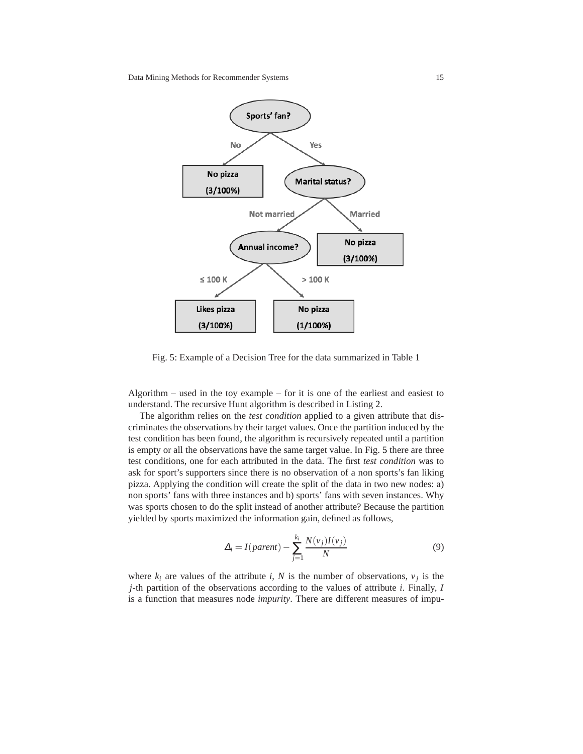

Fig. 5: Example of a Decision Tree for the data summarized in Table [1](#page-13-0)

<span id="page-14-0"></span>Algorithm – used in the toy example – for it is one of the earliest and easiest to understand. The recursive Hunt algorithm is described in Listing [2.](#page-15-0)

The algorithm relies on the *test condition* applied to a given attribute that discriminates the observations by their target values. Once the partition induced by the test condition has been found, the algorithm is recursively repeated until a partition is empty or all the observations have the same target value. In Fig. [5](#page-14-0) there are three test conditions, one for each attributed in the data. The first *test condition* was to ask for sport's supporters since there is no observation of a non sports's fan liking pizza. Applying the condition will create the split of the data in two new nodes: a) non sports' fans with three instances and b) sports' fans with seven instances. Why was sports chosen to do the split instead of another attribute? Because the partition yielded by sports maximized the information gain, defined as follows,

$$
\Delta_i = I(parent) - \sum_{j=1}^{k_i} \frac{N(v_j)I(v_j)}{N}
$$
\n(9)

where  $k_i$  are values of the attribute *i*, *N* is the number of observations,  $v_j$  is the *j*-th partition of the observations according to the values of attribute *i*. Finally, *I* is a function that measures node *impurity*. There are different measures of impu-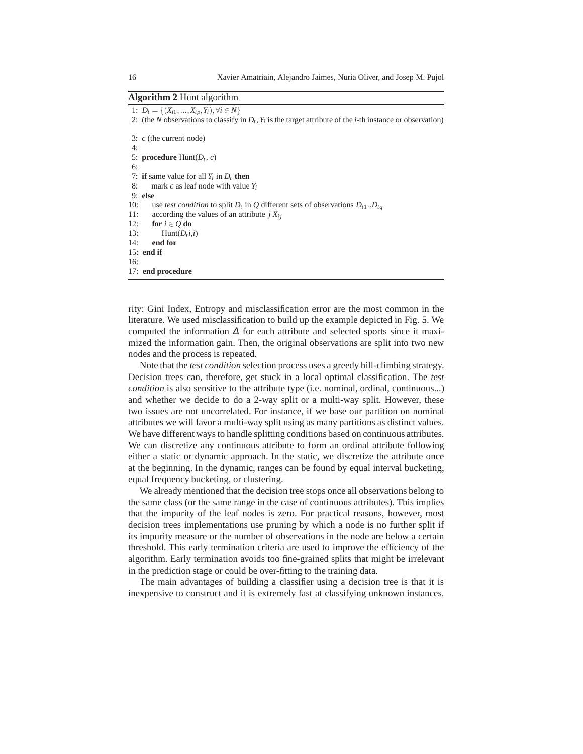<span id="page-15-0"></span>**Algorithm 2** Hunt algorithm

1:  $D_t = \{(X_{i1},...,X_{ip},Y_i), \forall i \in N\}$ 2: (the *N* observations to classify in  $D_t$ ,  $Y_i$  is the target attribute of the *i*-th instance or observation) 3: *c* (the current node) 4: 5: **procedure**  $\text{Hunt}(D_t, c)$ 6: 7: **if** same value for all  $Y_i$  in  $D_t$  **then** 8: mark *c* as leaf node with value *Y<sup>i</sup>* 9: **else** 10: use *test condition* to split  $D_t$  in  $Q$  different sets of observations  $D_{t1} \cdot D_{tq}$ 11: according the values of an attribute *j*  $X_{ij}$ <br>12: **for**  $i \in \Omega$  **do** for  $i \in O$  do 13: Hunt $(D_t i, i)$ 14: **end for** 15: **end if** 16: 17: **end procedure**

rity: Gini Index, Entropy and misclassification error are the most common in the literature. We used misclassification to build up the example depicted in Fig. [5.](#page-14-0) We computed the information  $\Delta$  for each attribute and selected sports since it maximized the information gain. Then, the original observations are split into two new nodes and the process is repeated.

Note that the *test condition* selection process uses a greedy hill-climbing strategy. Decision trees can, therefore, get stuck in a local optimal classification. The *test condition* is also sensitive to the attribute type (i.e. nominal, ordinal, continuous...) and whether we decide to do a 2-way split or a multi-way split. However, these two issues are not uncorrelated. For instance, if we base our partition on nominal attributes we will favor a multi-way split using as many partitions as distinct values. We have different ways to handle splitting conditions based on continuous attributes. We can discretize any continuous attribute to form an ordinal attribute following either a static or dynamic approach. In the static, we discretize the attribute once at the beginning. In the dynamic, ranges can be found by equal interval bucketing, equal frequency bucketing, or clustering.

We already mentioned that the decision tree stops once all observations belong to the same class (or the same range in the case of continuous attributes). This implies that the impurity of the leaf nodes is zero. For practical reasons, however, most decision trees implementations use pruning by which a node is no further split if its impurity measure or the number of observations in the node are below a certain threshold. This early termination criteria are used to improve the efficiency of the algorithm. Early termination avoids too fine-grained splits that might be irrelevant in the prediction stage or could be over-fitting to the training data.

The main advantages of building a classifier using a decision tree is that it is inexpensive to construct and it is extremely fast at classifying unknown instances.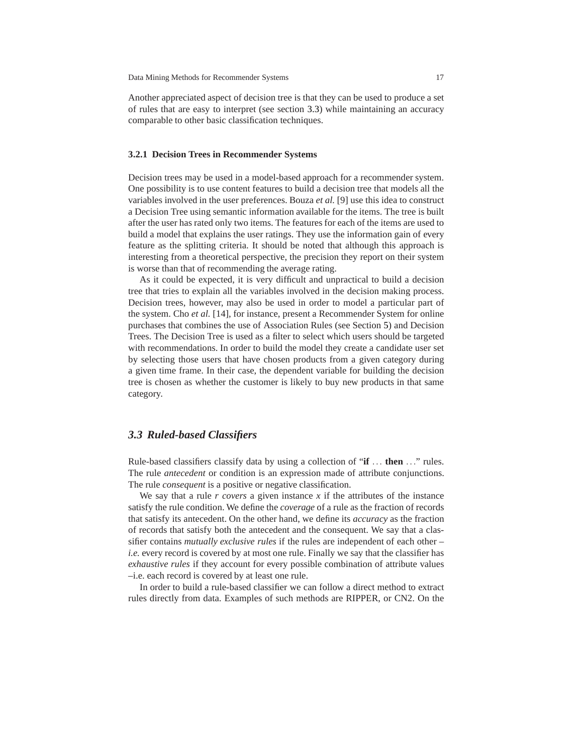Another appreciated aspect of decision tree is that they can be used to produce a set of rules that are easy to interpret (see section [3.3\)](#page-16-0) while maintaining an accuracy comparable to other basic classification techniques.

#### <span id="page-16-1"></span>**3.2.1 Decision Trees in Recommender Systems**

Decision trees may be used in a model-based approach for a recommender system. One possibility is to use content features to build a decision tree that models all the variables involved in the user preferences. Bouza *et al.* [9] use this idea to construct a Decision Tree using semantic information available for the items. The tree is built after the user has rated only two items. The features for each of the items are used to build a model that explains the user ratings. They use the information gain of every feature as the splitting criteria. It should be noted that although this approach is interesting from a theoretical perspective, the precision they report on their system is worse than that of recommending the average rating.

As it could be expected, it is very difficult and unpractical to build a decision tree that tries to explain all the variables involved in the decision making process. Decision trees, however, may also be used in order to model a particular part of the system. Cho *et al.* [14], for instance, present a Recommender System for online purchases that combines the use of Association Rules (see Section [5\)](#page-36-0) and Decision Trees. The Decision Tree is used as a filter to select which users should be targeted with recommendations. In order to build the model they create a candidate user set by selecting those users that have chosen products from a given category during a given time frame. In their case, the dependent variable for building the decision tree is chosen as whether the customer is likely to buy new products in that same category.

# <span id="page-16-0"></span>*3.3 Ruled-based Classifiers*

Rule-based classifiers classify data by using a collection of "**if** ... **then** ..." rules. The rule *antecedent* or condition is an expression made of attribute conjunctions. The rule *consequent* is a positive or negative classification.

We say that a rule  $r$  covers a given instance  $x$  if the attributes of the instance satisfy the rule condition. We define the *coverage* of a rule as the fraction of records that satisfy its antecedent. On the other hand, we define its *accuracy* as the fraction of records that satisfy both the antecedent and the consequent. We say that a classifier contains *mutually exclusive rules* if the rules are independent of each other – *i.e.* every record is covered by at most one rule. Finally we say that the classifier has *exhaustive rules* if they account for every possible combination of attribute values –i.e. each record is covered by at least one rule.

In order to build a rule-based classifier we can follow a direct method to extract rules directly from data. Examples of such methods are RIPPER, or CN2. On the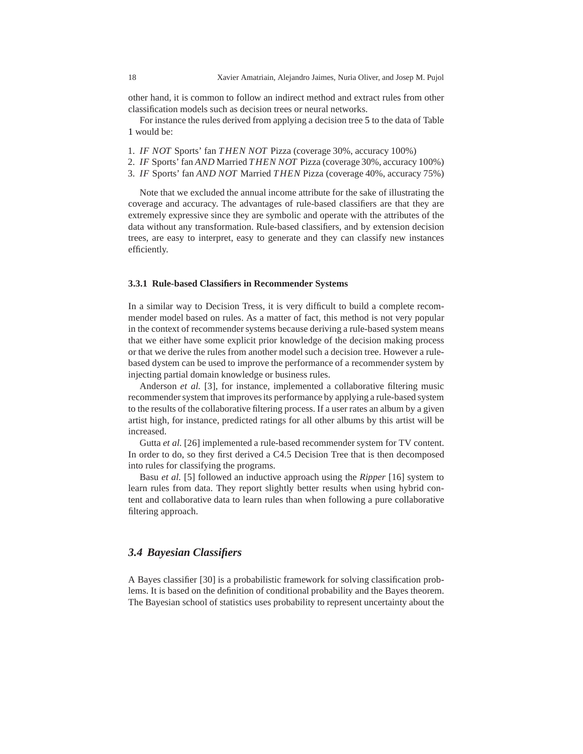other hand, it is common to follow an indirect method and extract rules from other classification models such as decision trees or neural networks.

For instance the rules derived from applying a decision tree [5](#page-14-0) to the data of Table [1](#page-13-0) would be:

- 1. *IF NOT* Sports' fan *T HEN NOT* Pizza (coverage 30%, accuracy 100%)
- 2. *IF* Sports' fan *AND* Married *T HEN NOT* Pizza (coverage 30%, accuracy 100%)
- 3. *IF* Sports' fan *AND NOT* Married *T HEN* Pizza (coverage 40%, accuracy 75%)

Note that we excluded the annual income attribute for the sake of illustrating the coverage and accuracy. The advantages of rule-based classifiers are that they are extremely expressive since they are symbolic and operate with the attributes of the data without any transformation. Rule-based classifiers, and by extension decision trees, are easy to interpret, easy to generate and they can classify new instances efficiently.

#### **3.3.1 Rule-based Classifiers in Recommender Systems**

In a similar way to Decision Tress, it is very difficult to build a complete recommender model based on rules. As a matter of fact, this method is not very popular in the context of recommender systems because deriving a rule-based system means that we either have some explicit prior knowledge of the decision making process or that we derive the rules from another model such a decision tree. However a rulebased dystem can be used to improve the performance of a recommender system by injecting partial domain knowledge or business rules.

Anderson *et al.* [3], for instance, implemented a collaborative filtering music recommender system that improves its performance by applying a rule-based system to the results of the collaborative filtering process. If a user rates an album by a given artist high, for instance, predicted ratings for all other albums by this artist will be increased.

Gutta *et al.* [26] implemented a rule-based recommender system for TV content. In order to do, so they first derived a C4.5 Decision Tree that is then decomposed into rules for classifying the programs.

Basu *et al.* [5] followed an inductive approach using the *Ripper* [16] system to learn rules from data. They report slightly better results when using hybrid content and collaborative data to learn rules than when following a pure collaborative filtering approach.

### <span id="page-17-0"></span>*3.4 Bayesian Classifiers*

A Bayes classifier [30] is a probabilistic framework for solving classification problems. It is based on the definition of conditional probability and the Bayes theorem. The Bayesian school of statistics uses probability to represent uncertainty about the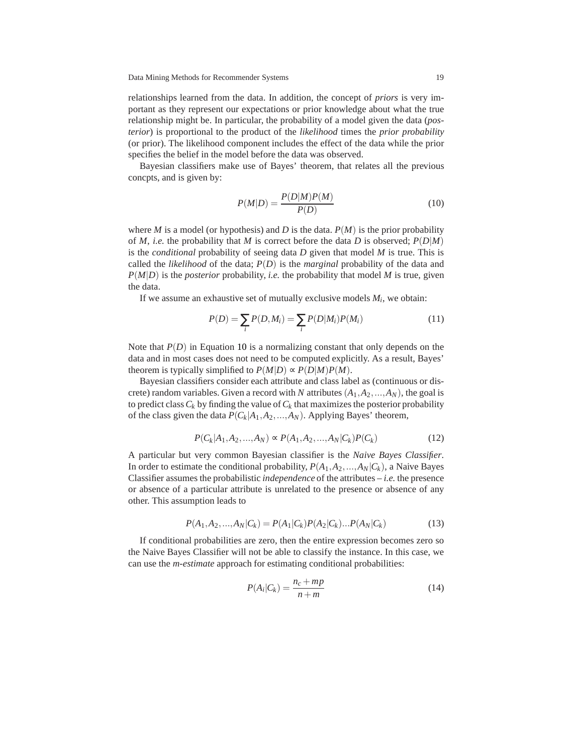relationships learned from the data. In addition, the concept of *priors* is very important as they represent our expectations or prior knowledge about what the true relationship might be. In particular, the probability of a model given the data (*posterior*) is proportional to the product of the *likelihood* times the *prior probability* (or prior). The likelihood component includes the effect of the data while the prior specifies the belief in the model before the data was observed.

Bayesian classifiers make use of Bayes' theorem, that relates all the previous concpts, and is given by:

$$
P(M|D) = \frac{P(D|M)P(M)}{P(D)}\tag{10}
$$

<span id="page-18-0"></span>where *M* is a model (or hypothesis) and *D* is the data.  $P(M)$  is the prior probability of *M*, *i.e.* the probability that *M* is correct before the data *D* is observed; *P*(*D*|*M*) is the *conditional* probability of seeing data *D* given that model *M* is true. This is called the *likelihood* of the data;  $P(D)$  is the *marginal* probability of the data and  $P(M|D)$  is the *posterior* probability, *i.e.* the probability that model *M* is true, given the data.

If we assume an exhaustive set of mutually exclusive models *M<sup>i</sup>* , we obtain:

$$
P(D) = \sum_{i} P(D, M_i) = \sum_{i} P(D|M_i)P(M_i)
$$
 (11)

Note that  $P(D)$  in Equation [10](#page-18-0) is a normalizing constant that only depends on the data and in most cases does not need to be computed explicitly. As a result, Bayes' theorem is typically simplified to  $P(M|D) \propto P(D|M)P(M)$ .

Bayesian classifiers consider each attribute and class label as (continuous or discrete) random variables. Given a record with *N* attributes  $(A_1, A_2, ..., A_N)$ , the goal is to predict class  $C_k$  by finding the value of  $C_k$  that maximizes the posterior probability of the class given the data  $P(C_k | A_1, A_2, ..., A_N)$ . Applying Bayes' theorem,

$$
P(C_k|A_1, A_2, ..., A_N) \approx P(A_1, A_2, ..., A_N|C_k)P(C_k)
$$
\n(12)

A particular but very common Bayesian classifier is the *Naive Bayes Classifier*. In order to estimate the conditional probability,  $P(A_1, A_2, ..., A_N|C_k)$ , a Naive Bayes Classifier assumes the probabilistic *independence* of the attributes – *i.e.* the presence or absence of a particular attribute is unrelated to the presence or absence of any other. This assumption leads to

$$
P(A_1, A_2, ..., A_N | C_k) = P(A_1 | C_k) P(A_2 | C_k) ... P(A_N | C_k)
$$
\n(13)

If conditional probabilities are zero, then the entire expression becomes zero so the Naive Bayes Classifier will not be able to classify the instance. In this case, we can use the *m-estimate* approach for estimating conditional probabilities:

$$
P(A_i|C_k) = \frac{n_c + mp}{n + m}
$$
\n(14)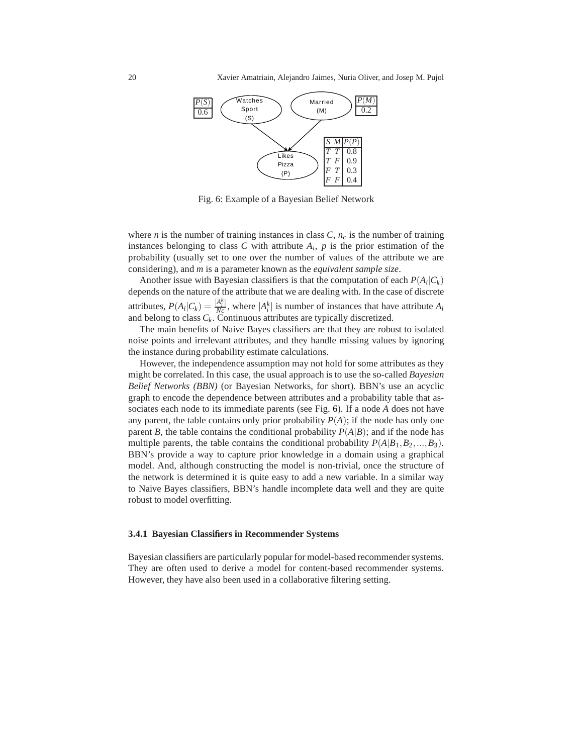

Fig. 6: Example of a Bayesian Belief Network

<span id="page-19-0"></span>where *n* is the number of training instances in class  $C$ ,  $n_c$  is the number of training instances belonging to class  $C$  with attribute  $A_i$ ,  $p$  is the prior estimation of the probability (usually set to one over the number of values of the attribute we are considering), and *m* is a parameter known as the *equivalent sample size*.

Another issue with Bayesian classifiers is that the computation of each  $P(A_i|C_k)$ depends on the nature of the attribute that we are dealing with. In the case of discrete attributes,  $P(A_i|C_k) = \frac{|A_i^k|}{Nc}$ , where  $|A_i^k|$  is number of instances that have attribute  $A_i$ and belong to class *C<sup>k</sup>* . Continuous attributes are typically discretized.

The main benefits of Naive Bayes classifiers are that they are robust to isolated noise points and irrelevant attributes, and they handle missing values by ignoring the instance during probability estimate calculations.

However, the independence assumption may not hold for some attributes as they might be correlated. In this case, the usual approach is to use the so-called *Bayesian Belief Networks (BBN)* (or Bayesian Networks, for short). BBN's use an acyclic graph to encode the dependence between attributes and a probability table that associates each node to its immediate parents (see Fig. [6\)](#page-19-0). If a node *A* does not have any parent, the table contains only prior probability  $P(A)$ ; if the node has only one parent *B*, the table contains the conditional probability  $P(A|B)$ ; and if the node has multiple parents, the table contains the conditional probability  $P(A|B_1, B_2, ..., B_3)$ . BBN's provide a way to capture prior knowledge in a domain using a graphical model. And, although constructing the model is non-trivial, once the structure of the network is determined it is quite easy to add a new variable. In a similar way to Naive Bayes classifiers, BBN's handle incomplete data well and they are quite robust to model overfitting.

#### **3.4.1 Bayesian Classifiers in Recommender Systems**

Bayesian classifiers are particularly popular for model-based recommender systems. They are often used to derive a model for content-based recommender systems. However, they have also been used in a collaborative filtering setting.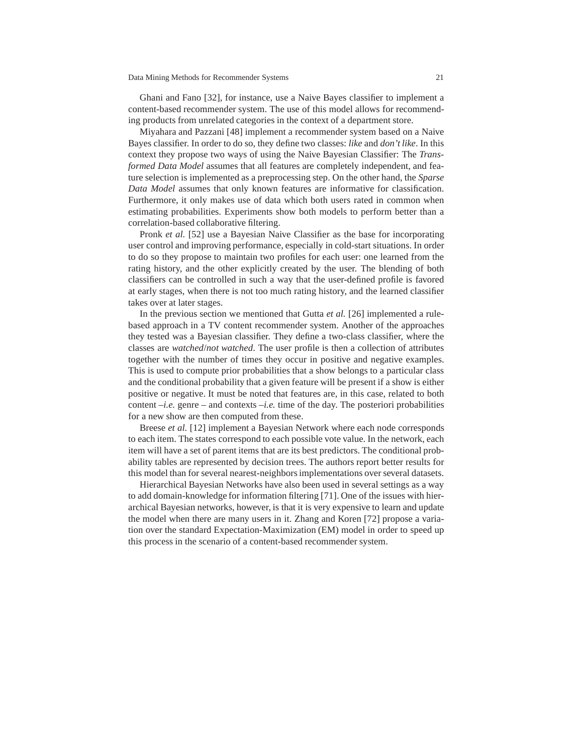Ghani and Fano [32], for instance, use a Naive Bayes classifier to implement a content-based recommender system. The use of this model allows for recommending products from unrelated categories in the context of a department store.

Miyahara and Pazzani [48] implement a recommender system based on a Naive Bayes classifier. In order to do so, they define two classes: *like* and *don't like*. In this context they propose two ways of using the Naive Bayesian Classifier: The *Transformed Data Model* assumes that all features are completely independent, and feature selection is implemented as a preprocessing step. On the other hand, the *Sparse Data Model* assumes that only known features are informative for classification. Furthermore, it only makes use of data which both users rated in common when estimating probabilities. Experiments show both models to perform better than a correlation-based collaborative filtering.

Pronk *et al.* [52] use a Bayesian Naive Classifier as the base for incorporating user control and improving performance, especially in cold-start situations. In order to do so they propose to maintain two profiles for each user: one learned from the rating history, and the other explicitly created by the user. The blending of both classifiers can be controlled in such a way that the user-defined profile is favored at early stages, when there is not too much rating history, and the learned classifier takes over at later stages.

In the previous section we mentioned that Gutta *et al.* [26] implemented a rulebased approach in a TV content recommender system. Another of the approaches they tested was a Bayesian classifier. They define a two-class classifier, where the classes are *watched*/*not watched*. The user profile is then a collection of attributes together with the number of times they occur in positive and negative examples. This is used to compute prior probabilities that a show belongs to a particular class and the conditional probability that a given feature will be present if a show is either positive or negative. It must be noted that features are, in this case, related to both content –*i.e.* genre – and contexts –*i.e.* time of the day. The posteriori probabilities for a new show are then computed from these.

Breese *et al.* [12] implement a Bayesian Network where each node corresponds to each item. The states correspond to each possible vote value. In the network, each item will have a set of parent items that are its best predictors. The conditional probability tables are represented by decision trees. The authors report better results for this model than for several nearest-neighbors implementations over several datasets.

Hierarchical Bayesian Networks have also been used in several settings as a way to add domain-knowledge for information filtering [71]. One of the issues with hierarchical Bayesian networks, however, is that it is very expensive to learn and update the model when there are many users in it. Zhang and Koren [72] propose a variation over the standard Expectation-Maximization (EM) model in order to speed up this process in the scenario of a content-based recommender system.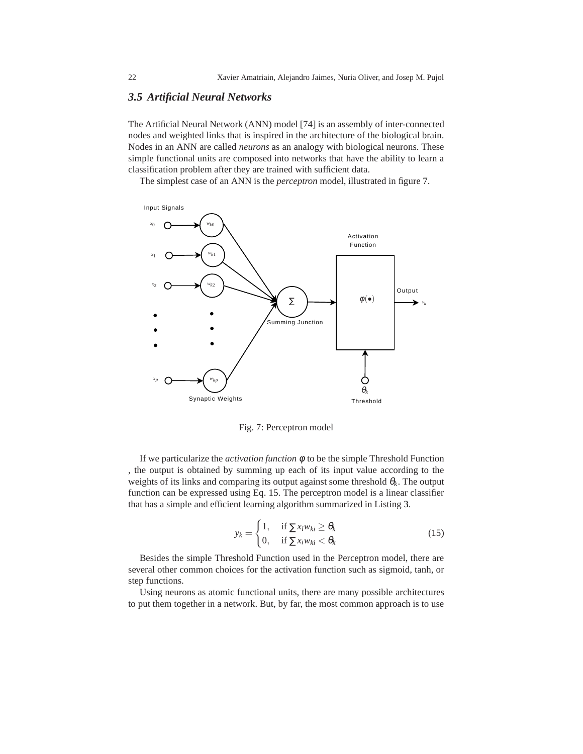### *3.5 Artificial Neural Networks*

The Artificial Neural Network (ANN) model [74] is an assembly of inter-connected nodes and weighted links that is inspired in the architecture of the biological brain. Nodes in an ANN are called *neurons* as an analogy with biological neurons. These simple functional units are composed into networks that have the ability to learn a classification problem after they are trained with sufficient data.

The simplest case of an ANN is the *perceptron* model, illustrated in figure [7.](#page-21-0)



<span id="page-21-0"></span>Fig. 7: Perceptron model

If we particularize the *activation function* φ to be the simple Threshold Function , the output is obtained by summing up each of its input value according to the weights of its links and comparing its output against some threshold  $\theta_k$ . The output function can be expressed using Eq. [15.](#page-21-1) The perceptron model is a linear classifier that has a simple and efficient learning algorithm summarized in Listing [3.](#page-22-0)

$$
y_k = \begin{cases} 1, & \text{if } \sum x_i w_{ki} \ge \theta_k \\ 0, & \text{if } \sum x_i w_{ki} < \theta_k \end{cases} \tag{15}
$$

<span id="page-21-1"></span>Besides the simple Threshold Function used in the Perceptron model, there are several other common choices for the activation function such as sigmoid, tanh, or step functions.

Using neurons as atomic functional units, there are many possible architectures to put them together in a network. But, by far, the most common approach is to use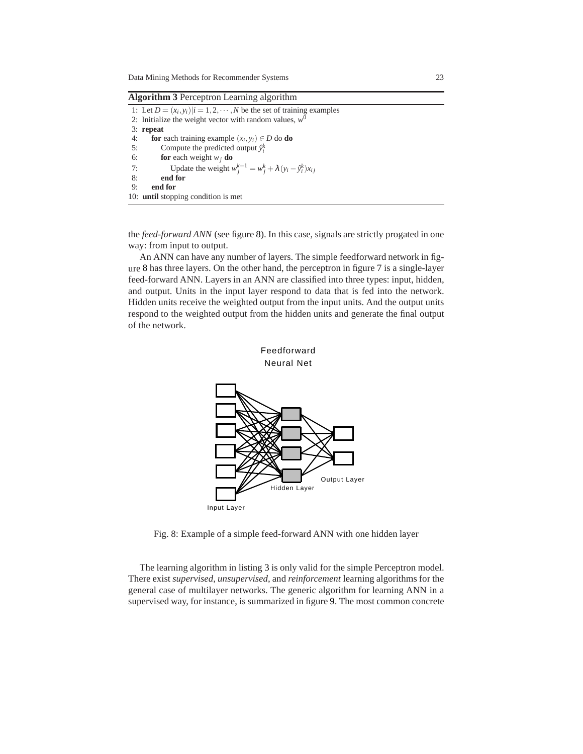<span id="page-22-0"></span>**Algorithm 3** Perceptron Learning algorithm 1: Let  $D = (x_i, y_i) | i = 1, 2, \dots, N$  be the set of training examples

2: Initialize the weight vector with random values,  $w^0$ 3: **repeat** 4: **for** each training example  $(x_i, y_i) \in D$  do **do** 5: Compute the predicted output  $\hat{y}_i^k$ 6: **for** each weight  $w_j$  **do** 7: Update the weight  $w_j^{k+1} = w_j^k + \lambda (y_i - \hat{y}_i^k) x_{ij}$ 8: **end for** 9: **end for** 10: **until** stopping condition is met

the *feed-forward ANN* (see figure [8\)](#page-22-1). In this case, signals are strictly progated in one way: from input to output.

An ANN can have any number of layers. The simple feedforward network in figure [8](#page-22-1) has three layers. On the other hand, the perceptron in figure [7](#page-21-0) is a single-layer feed-forward ANN. Layers in an ANN are classified into three types: input, hidden, and output. Units in the input layer respond to data that is fed into the network. Hidden units receive the weighted output from the input units. And the output units respond to the weighted output from the hidden units and generate the final output of the network.





Fig. 8: Example of a simple feed-forward ANN with one hidden layer

<span id="page-22-1"></span>The learning algorithm in listing [3](#page-22-0) is only valid for the simple Perceptron model. There exist *supervised*, *unsupervised*, and *reinforcement* learning algorithms for the general case of multilayer networks. The generic algorithm for learning ANN in a supervised way, for instance, is summarized in figure [9.](#page-23-0) The most common concrete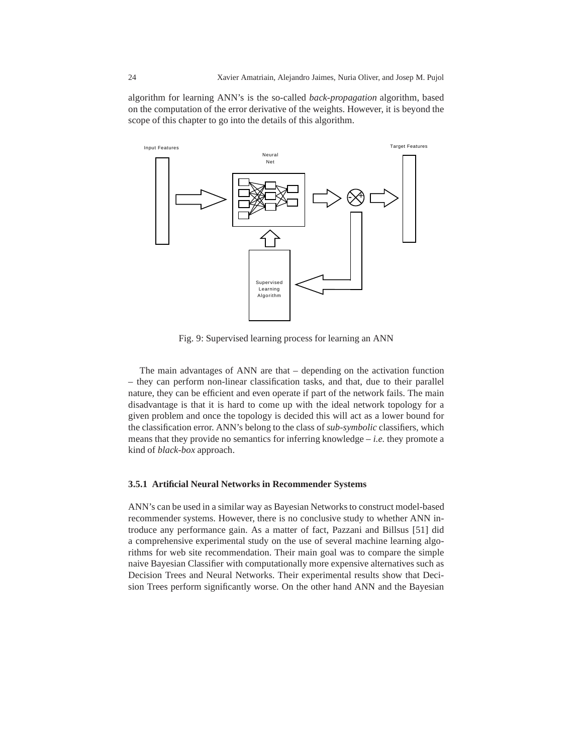algorithm for learning ANN's is the so-called *back-propagation* algorithm, based on the computation of the error derivative of the weights. However, it is beyond the scope of this chapter to go into the details of this algorithm.



Fig. 9: Supervised learning process for learning an ANN

<span id="page-23-0"></span>The main advantages of ANN are that – depending on the activation function – they can perform non-linear classification tasks, and that, due to their parallel nature, they can be efficient and even operate if part of the network fails. The main disadvantage is that it is hard to come up with the ideal network topology for a given problem and once the topology is decided this will act as a lower bound for the classification error. ANN's belong to the class of *sub-symbolic* classifiers, which means that they provide no semantics for inferring knowledge – *i.e.* they promote a kind of *black-box* approach.

#### **3.5.1 Artificial Neural Networks in Recommender Systems**

ANN's can be used in a similar way as Bayesian Networks to construct model-based recommender systems. However, there is no conclusive study to whether ANN introduce any performance gain. As a matter of fact, Pazzani and Billsus [51] did a comprehensive experimental study on the use of several machine learning algorithms for web site recommendation. Their main goal was to compare the simple naive Bayesian Classifier with computationally more expensive alternatives such as Decision Trees and Neural Networks. Their experimental results show that Decision Trees perform significantly worse. On the other hand ANN and the Bayesian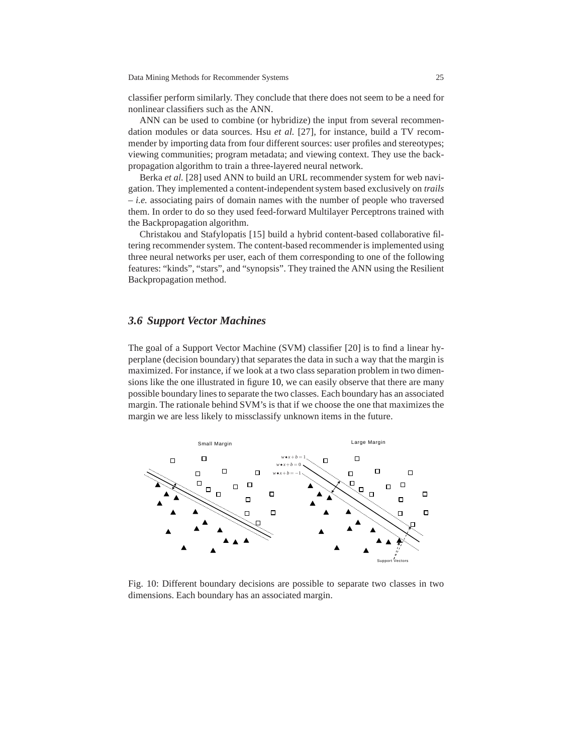classifier perform similarly. They conclude that there does not seem to be a need for nonlinear classifiers such as the ANN.

ANN can be used to combine (or hybridize) the input from several recommendation modules or data sources. Hsu *et al.* [27], for instance, build a TV recommender by importing data from four different sources: user profiles and stereotypes; viewing communities; program metadata; and viewing context. They use the backpropagation algorithm to train a three-layered neural network.

Berka *et al.* [28] used ANN to build an URL recommender system for web navigation. They implemented a content-independent system based exclusively on *trails* – *i.e.* associating pairs of domain names with the number of people who traversed them. In order to do so they used feed-forward Multilayer Perceptrons trained with the Backpropagation algorithm.

Christakou and Stafylopatis [15] build a hybrid content-based collaborative filtering recommender system. The content-based recommender is implemented using three neural networks per user, each of them corresponding to one of the following features: "kinds", "stars", and "synopsis". They trained the ANN using the Resilient Backpropagation method.

# <span id="page-24-1"></span>*3.6 Support Vector Machines*

The goal of a Support Vector Machine (SVM) classifier [20] is to find a linear hyperplane (decision boundary) that separates the data in such a way that the margin is maximized. For instance, if we look at a two class separation problem in two dimensions like the one illustrated in figure [10,](#page-24-0) we can easily observe that there are many possible boundary lines to separate the two classes. Each boundary has an associated margin. The rationale behind SVM's is that if we choose the one that maximizes the margin we are less likely to missclassify unknown items in the future.



<span id="page-24-0"></span>Fig. 10: Different boundary decisions are possible to separate two classes in two dimensions. Each boundary has an associated margin.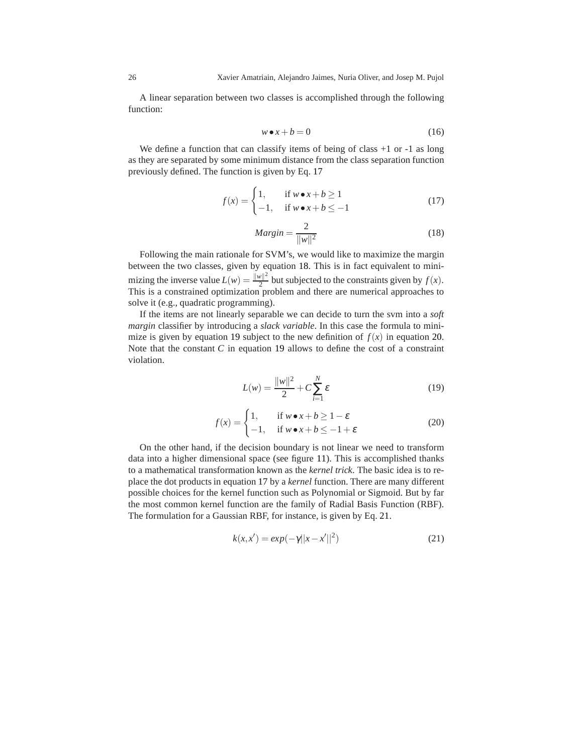A linear separation between two classes is accomplished through the following function:

$$
w \bullet x + b = 0 \tag{16}
$$

<span id="page-25-0"></span>We define a function that can classify items of being of class  $+1$  or  $-1$  as long as they are separated by some minimum distance from the class separation function previously defined. The function is given by Eq. [17](#page-25-0)

<span id="page-25-1"></span>
$$
f(x) = \begin{cases} 1, & \text{if } w \bullet x + b \ge 1 \\ -1, & \text{if } w \bullet x + b \le -1 \end{cases} \tag{17}
$$

$$
Margin = \frac{2}{\|w\|^2} \tag{18}
$$

Following the main rationale for SVM's, we would like to maximize the margin between the two classes, given by equation [18.](#page-25-1) This is in fact equivalent to minimizing the inverse value  $L(w) = \frac{||w||^2}{2}$  $\frac{\nu_{\parallel}}{2}$  but subjected to the constraints given by  $f(x)$ . This is a constrained optimization problem and there are numerical approaches to solve it (e.g., quadratic programming).

If the items are not linearly separable we can decide to turn the svm into a *soft margin* classifier by introducing a *slack variable*. In this case the formula to mini-mize is given by equation [19](#page-25-2) subject to the new definition of  $f(x)$  in equation [20.](#page-25-3) Note that the constant *C* in equation [19](#page-25-2) allows to define the cost of a constraint violation.

$$
L(w) = \frac{\|w\|^2}{2} + C \sum_{i=1}^{N} \varepsilon
$$
 (19)

<span id="page-25-2"></span>
$$
f(x) = \begin{cases} 1, & \text{if } w \bullet x + b \ge 1 - \varepsilon \\ -1, & \text{if } w \bullet x + b \le -1 + \varepsilon \end{cases}
$$
 (20)

<span id="page-25-3"></span>On the other hand, if the decision boundary is not linear we need to transform data into a higher dimensional space (see figure [11\)](#page-26-0). This is accomplished thanks to a mathematical transformation known as the *kernel trick*. The basic idea is to replace the dot products in equation [17](#page-25-0) by a *kernel* function. There are many different possible choices for the kernel function such as Polynomial or Sigmoid. But by far the most common kernel function are the family of Radial Basis Function (RBF). The formulation for a Gaussian RBF, for instance, is given by Eq. [21.](#page-25-4)

<span id="page-25-4"></span>
$$
k(x, x') = exp(-\gamma ||x - x'||^2)
$$
 (21)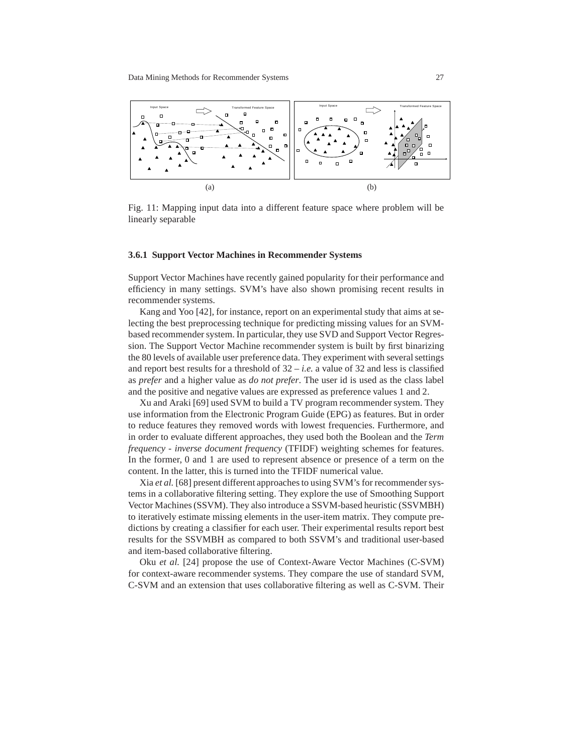

<span id="page-26-0"></span>Fig. 11: Mapping input data into a different feature space where problem will be linearly separable

#### **3.6.1 Support Vector Machines in Recommender Systems**

Support Vector Machines have recently gained popularity for their performance and efficiency in many settings. SVM's have also shown promising recent results in recommender systems.

Kang and Yoo [42], for instance, report on an experimental study that aims at selecting the best preprocessing technique for predicting missing values for an SVMbased recommender system. In particular, they use SVD and Support Vector Regression. The Support Vector Machine recommender system is built by first binarizing the 80 levels of available user preference data. They experiment with several settings and report best results for a threshold of  $32 - i.e.$  a value of  $32$  and less is classified as *prefer* and a higher value as *do not prefer*. The user id is used as the class label and the positive and negative values are expressed as preference values 1 and 2.

Xu and Araki [69] used SVM to build a TV program recommender system. They use information from the Electronic Program Guide (EPG) as features. But in order to reduce features they removed words with lowest frequencies. Furthermore, and in order to evaluate different approaches, they used both the Boolean and the *Term frequency - inverse document frequency* (TFIDF) weighting schemes for features. In the former, 0 and 1 are used to represent absence or presence of a term on the content. In the latter, this is turned into the TFIDF numerical value.

Xia *et al.* [68] present different approaches to using SVM's for recommender systems in a collaborative filtering setting. They explore the use of Smoothing Support Vector Machines (SSVM). They also introduce a SSVM-based heuristic (SSVMBH) to iteratively estimate missing elements in the user-item matrix. They compute predictions by creating a classifier for each user. Their experimental results report best results for the SSVMBH as compared to both SSVM's and traditional user-based and item-based collaborative filtering.

Oku *et al.* [24] propose the use of Context-Aware Vector Machines (C-SVM) for context-aware recommender systems. They compare the use of standard SVM, C-SVM and an extension that uses collaborative filtering as well as C-SVM. Their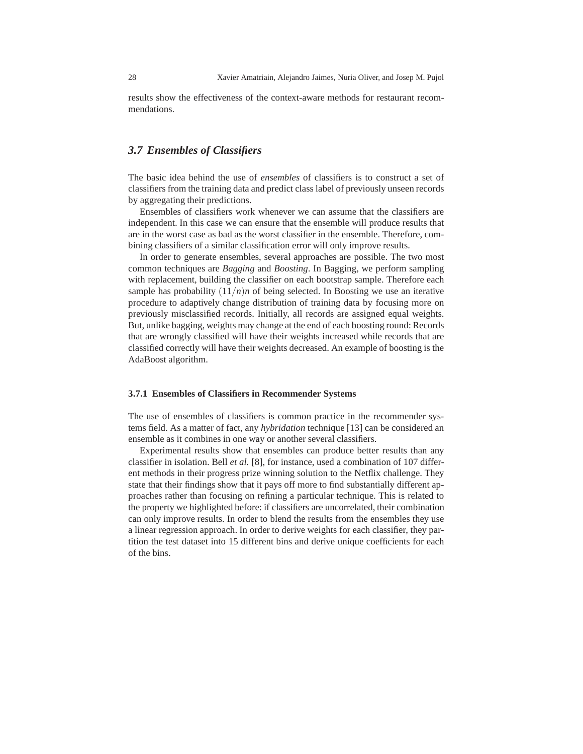results show the effectiveness of the context-aware methods for restaurant recommendations.

# *3.7 Ensembles of Classifiers*

The basic idea behind the use of *ensembles* of classifiers is to construct a set of classifiers from the training data and predict class label of previously unseen records by aggregating their predictions.

Ensembles of classifiers work whenever we can assume that the classifiers are independent. In this case we can ensure that the ensemble will produce results that are in the worst case as bad as the worst classifier in the ensemble. Therefore, combining classifiers of a similar classification error will only improve results.

In order to generate ensembles, several approaches are possible. The two most common techniques are *Bagging* and *Boosting*. In Bagging, we perform sampling with replacement, building the classifier on each bootstrap sample. Therefore each sample has probability  $(11/n)n$  of being selected. In Boosting we use an iterative procedure to adaptively change distribution of training data by focusing more on previously misclassified records. Initially, all records are assigned equal weights. But, unlike bagging, weights may change at the end of each boosting round: Records that are wrongly classified will have their weights increased while records that are classified correctly will have their weights decreased. An example of boosting is the AdaBoost algorithm.

#### **3.7.1 Ensembles of Classifiers in Recommender Systems**

The use of ensembles of classifiers is common practice in the recommender systems field. As a matter of fact, any *hybridation* technique [13] can be considered an ensemble as it combines in one way or another several classifiers.

Experimental results show that ensembles can produce better results than any classifier in isolation. Bell *et al.* [8], for instance, used a combination of 107 different methods in their progress prize winning solution to the Netflix challenge. They state that their findings show that it pays off more to find substantially different approaches rather than focusing on refining a particular technique. This is related to the property we highlighted before: if classifiers are uncorrelated, their combination can only improve results. In order to blend the results from the ensembles they use a linear regression approach. In order to derive weights for each classifier, they partition the test dataset into 15 different bins and derive unique coefficients for each of the bins.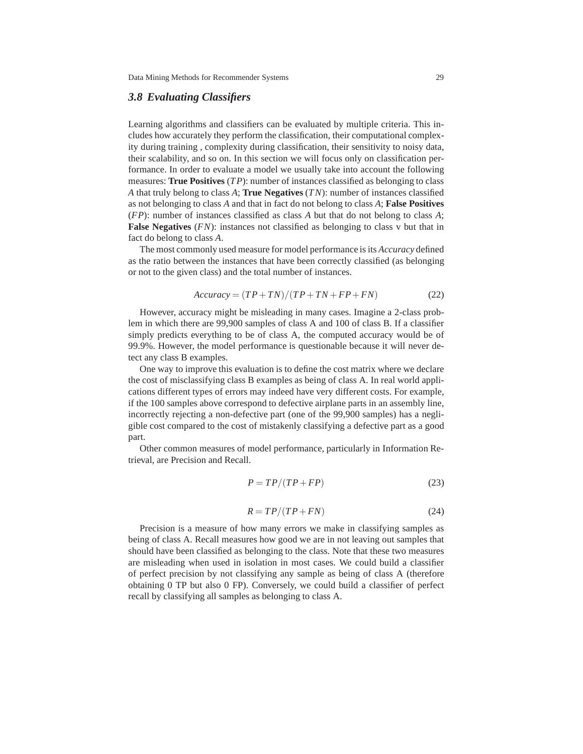### *3.8 Evaluating Classifiers*

Learning algorithms and classifiers can be evaluated by multiple criteria. This includes how accurately they perform the classification, their computational complexity during training , complexity during classification, their sensitivity to noisy data, their scalability, and so on. In this section we will focus only on classification performance. In order to evaluate a model we usually take into account the following measures: **True Positives** (*TP*): number of instances classified as belonging to class *A* that truly belong to class *A*; **True Negatives** (*T N*): number of instances classified as not belonging to class *A* and that in fact do not belong to class *A*; **False Positives** (*FP*): number of instances classified as class *A* but that do not belong to class *A*; **False Negatives** (*FN*): instances not classified as belonging to class v but that in fact do belong to class *A*.

The most commonly used measure for model performance is its *Accuracy* defined as the ratio between the instances that have been correctly classified (as belonging or not to the given class) and the total number of instances.

$$
Accuracy = (TP + TN)/(TP + TN + FP + FN)
$$
\n(22)

However, accuracy might be misleading in many cases. Imagine a 2-class problem in which there are 99,900 samples of class A and 100 of class B. If a classifier simply predicts everything to be of class A, the computed accuracy would be of 99.9%. However, the model performance is questionable because it will never detect any class B examples.

One way to improve this evaluation is to define the cost matrix where we declare the cost of misclassifying class B examples as being of class A. In real world applications different types of errors may indeed have very different costs. For example, if the 100 samples above correspond to defective airplane parts in an assembly line, incorrectly rejecting a non-defective part (one of the 99,900 samples) has a negligible cost compared to the cost of mistakenly classifying a defective part as a good part.

Other common measures of model performance, particularly in Information Retrieval, are Precision and Recall.

$$
P = TP/(TP + FP) \tag{23}
$$

$$
R = TP/(TP + FN) \tag{24}
$$

Precision is a measure of how many errors we make in classifying samples as being of class A. Recall measures how good we are in not leaving out samples that should have been classified as belonging to the class. Note that these two measures are misleading when used in isolation in most cases. We could build a classifier of perfect precision by not classifying any sample as being of class A (therefore obtaining 0 TP but also 0 FP). Conversely, we could build a classifier of perfect recall by classifying all samples as belonging to class A.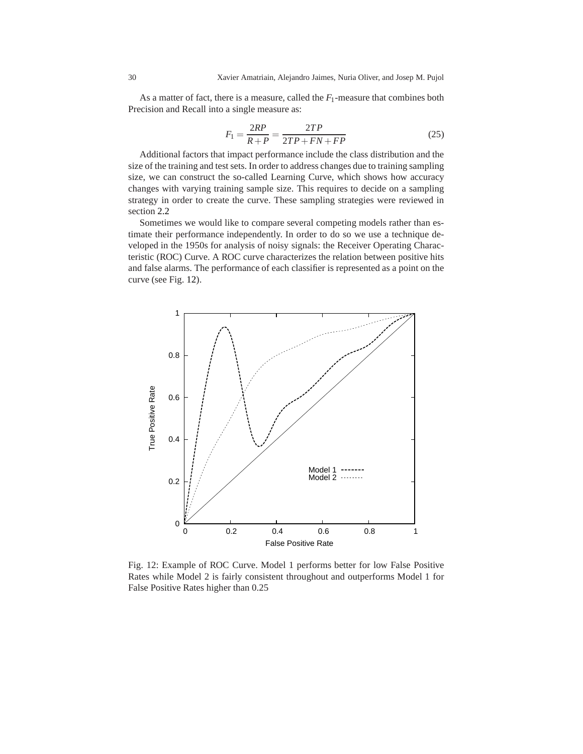As a matter of fact, there is a measure, called the *F*1-measure that combines both Precision and Recall into a single measure as:

$$
F_1 = \frac{2RP}{R+P} = \frac{2TP}{2TP+FN+FP}
$$
\n<sup>(25)</sup>

Additional factors that impact performance include the class distribution and the size of the training and test sets. In order to address changes due to training sampling size, we can construct the so-called Learning Curve, which shows how accuracy changes with varying training sample size. This requires to decide on a sampling strategy in order to create the curve. These sampling strategies were reviewed in section [2.2](#page-4-0)

Sometimes we would like to compare several competing models rather than estimate their performance independently. In order to do so we use a technique developed in the 1950s for analysis of noisy signals: the Receiver Operating Characteristic (ROC) Curve. A ROC curve characterizes the relation between positive hits and false alarms. The performance of each classifier is represented as a point on the curve (see Fig. [12\)](#page-29-0).



<span id="page-29-0"></span>Fig. 12: Example of ROC Curve. Model 1 performs better for low False Positive Rates while Model 2 is fairly consistent throughout and outperforms Model 1 for False Positive Rates higher than 0.25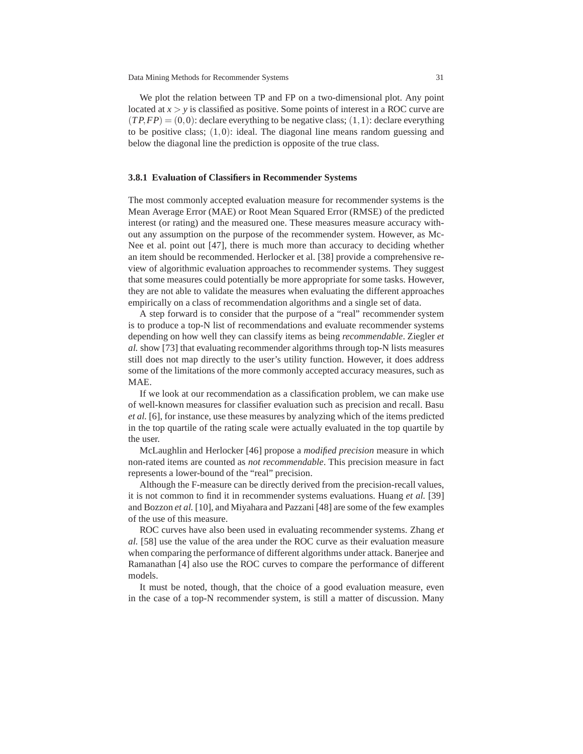We plot the relation between TP and FP on a two-dimensional plot. Any point located at  $x > y$  is classified as positive. Some points of interest in a ROC curve are  $(TP, FP) = (0,0)$ : declare everything to be negative class;  $(1,1)$ : declare everything to be positive class;  $(1,0)$ : ideal. The diagonal line means random guessing and below the diagonal line the prediction is opposite of the true class.

### **3.8.1 Evaluation of Classifiers in Recommender Systems**

The most commonly accepted evaluation measure for recommender systems is the Mean Average Error (MAE) or Root Mean Squared Error (RMSE) of the predicted interest (or rating) and the measured one. These measures measure accuracy without any assumption on the purpose of the recommender system. However, as Mc-Nee et al. point out [47], there is much more than accuracy to deciding whether an item should be recommended. Herlocker et al. [38] provide a comprehensive review of algorithmic evaluation approaches to recommender systems. They suggest that some measures could potentially be more appropriate for some tasks. However, they are not able to validate the measures when evaluating the different approaches empirically on a class of recommendation algorithms and a single set of data.

A step forward is to consider that the purpose of a "real" recommender system is to produce a top-N list of recommendations and evaluate recommender systems depending on how well they can classify items as being *recommendable*. Ziegler *et al.* show [73] that evaluating recommender algorithms through top-N lists measures still does not map directly to the user's utility function. However, it does address some of the limitations of the more commonly accepted accuracy measures, such as MAE.

If we look at our recommendation as a classification problem, we can make use of well-known measures for classifier evaluation such as precision and recall. Basu *et al.* [6], for instance, use these measures by analyzing which of the items predicted in the top quartile of the rating scale were actually evaluated in the top quartile by the user.

McLaughlin and Herlocker [46] propose a *modified precision* measure in which non-rated items are counted as *not recommendable*. This precision measure in fact represents a lower-bound of the "real" precision.

Although the F-measure can be directly derived from the precision-recall values, it is not common to find it in recommender systems evaluations. Huang *et al.* [39] and Bozzon *et al.* [10], and Miyahara and Pazzani [48] are some of the few examples of the use of this measure.

ROC curves have also been used in evaluating recommender systems. Zhang *et al.* [58] use the value of the area under the ROC curve as their evaluation measure when comparing the performance of different algorithms under attack. Banerjee and Ramanathan [4] also use the ROC curves to compare the performance of different models.

It must be noted, though, that the choice of a good evaluation measure, even in the case of a top-N recommender system, is still a matter of discussion. Many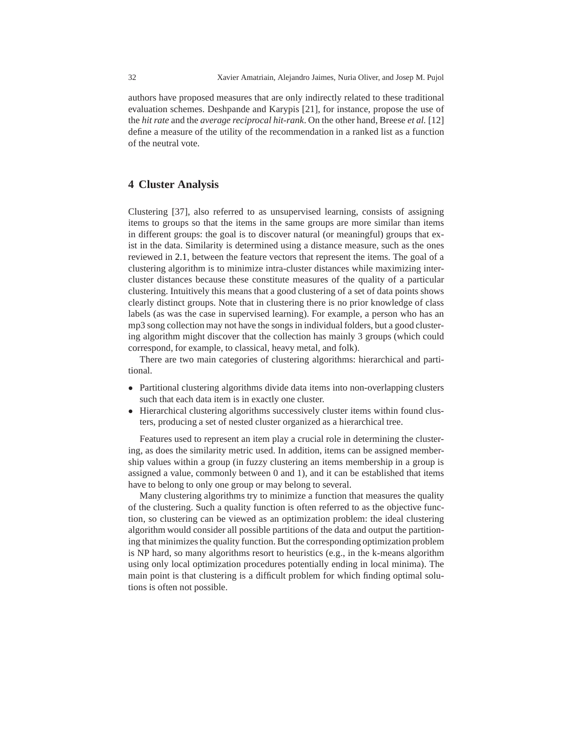authors have proposed measures that are only indirectly related to these traditional evaluation schemes. Deshpande and Karypis [21], for instance, propose the use of the *hit rate* and the *average reciprocal hit-rank*. On the other hand, Breese *et al.* [12] define a measure of the utility of the recommendation in a ranked list as a function of the neutral vote.

# <span id="page-31-0"></span>**4 Cluster Analysis**

Clustering [37], also referred to as unsupervised learning, consists of assigning items to groups so that the items in the same groups are more similar than items in different groups: the goal is to discover natural (or meaningful) groups that exist in the data. Similarity is determined using a distance measure, such as the ones reviewed in [2.1,](#page-3-2) between the feature vectors that represent the items. The goal of a clustering algorithm is to minimize intra-cluster distances while maximizing intercluster distances because these constitute measures of the quality of a particular clustering. Intuitively this means that a good clustering of a set of data points shows clearly distinct groups. Note that in clustering there is no prior knowledge of class labels (as was the case in supervised learning). For example, a person who has an mp3 song collection may not have the songs in individual folders, but a good clustering algorithm might discover that the collection has mainly 3 groups (which could correspond, for example, to classical, heavy metal, and folk).

There are two main categories of clustering algorithms: hierarchical and partitional.

- Partitional clustering algorithms divide data items into non-overlapping clusters such that each data item is in exactly one cluster.
- Hierarchical clustering algorithms successively cluster items within found clusters, producing a set of nested cluster organized as a hierarchical tree.

Features used to represent an item play a crucial role in determining the clustering, as does the similarity metric used. In addition, items can be assigned membership values within a group (in fuzzy clustering an items membership in a group is assigned a value, commonly between 0 and 1), and it can be established that items have to belong to only one group or may belong to several.

Many clustering algorithms try to minimize a function that measures the quality of the clustering. Such a quality function is often referred to as the objective function, so clustering can be viewed as an optimization problem: the ideal clustering algorithm would consider all possible partitions of the data and output the partitioning that minimizes the quality function. But the corresponding optimization problem is NP hard, so many algorithms resort to heuristics (e.g., in the k-means algorithm using only local optimization procedures potentially ending in local minima). The main point is that clustering is a difficult problem for which finding optimal solutions is often not possible.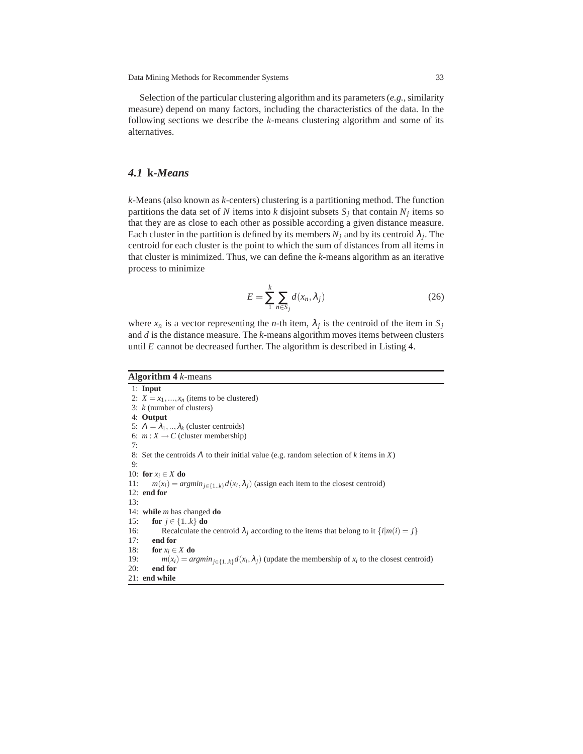Selection of the particular clustering algorithm and its parameters (*e.g.*, similarity measure) depend on many factors, including the characteristics of the data. In the following sections we describe the *k*-means clustering algorithm and some of its alternatives.

# <span id="page-32-1"></span>*4.1* **k***-Means*

*k*-Means (also known as *k*-centers) clustering is a partitioning method. The function partitions the data set of *N* items into *k* disjoint subsets  $S_j$  that contain  $N_j$  items so that they are as close to each other as possible according a given distance measure. Each cluster in the partition is defined by its members  $N_j$  and by its centroid  $\lambda_j$ . The centroid for each cluster is the point to which the sum of distances from all items in that cluster is minimized. Thus, we can define the *k*-means algorithm as an iterative process to minimize

$$
E = \sum_{1}^{k} \sum_{n \in S_j} d(x_n, \lambda_j)
$$
 (26)

where  $x_n$  is a vector representing the *n*-th item,  $\lambda_j$  is the centroid of the item in  $S_j$ and *d* is the distance measure. The *k*-means algorithm moves items between clusters until *E* cannot be decreased further. The algorithm is described in Listing [4.](#page-32-0)

### <span id="page-32-0"></span>**Algorithm 4** *k*-means

1: **Input** 2:  $X = x_1, ..., x_n$  (items to be clustered) 3: *k* (number of clusters) 4: **Output** 5:  $\Lambda = \lambda_1, \ldots, \lambda_k$  (cluster centroids) 6:  $m: X \to C$  (cluster membership) 7: 8: Set the centroids <sup>Λ</sup> to their initial value (e.g. random selection of *k* items in *X*) 9: 10: **for**  $x_i \in X$  **do** 11:  $m(x_i) = argmin_{j \in \{1..k\}} d(x_i, \lambda_j)$  (assign each item to the closest centroid) 12: **end for** 13: 14: **while** *m* has changed **do** 15: **for**  $j \in \{1..k\}$  **do** 16: Recalculate the centroid  $\lambda_i$  according to the items that belong to it  $\{i|m(i) = j\}$ 17: **end for** 18: **for**  $x_i \in X$  **do** 19:  $m(x_i) = argmin_{j \in \{1..k\}} d(x_i, \lambda_j)$  (update the membership of  $x_i$  to the closest centroid) 20: **end for** 21: **end while**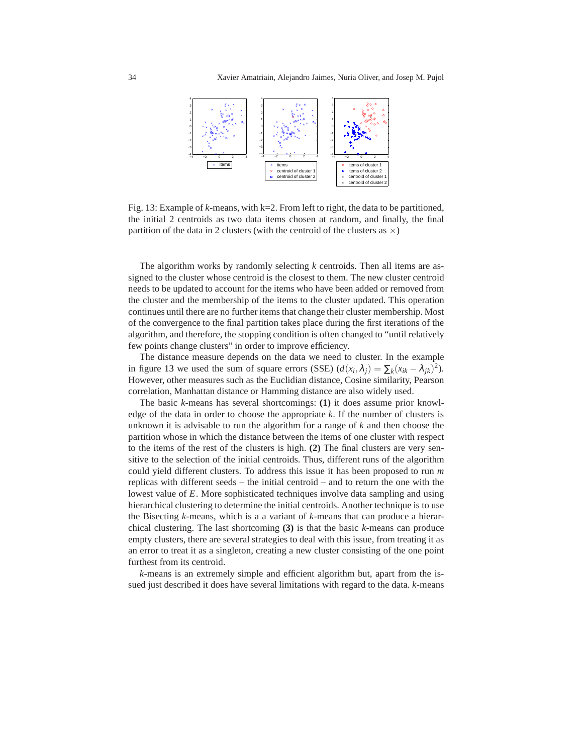

<span id="page-33-0"></span>Fig. 13: Example of *k*-means, with k=2. From left to right, the data to be partitioned, the initial 2 centroids as two data items chosen at random, and finally, the final partition of the data in 2 clusters (with the centroid of the clusters as  $\times$ )

The algorithm works by randomly selecting *k* centroids. Then all items are assigned to the cluster whose centroid is the closest to them. The new cluster centroid needs to be updated to account for the items who have been added or removed from the cluster and the membership of the items to the cluster updated. This operation continues until there are no further items that change their cluster membership. Most of the convergence to the final partition takes place during the first iterations of the algorithm, and therefore, the stopping condition is often changed to "until relatively few points change clusters" in order to improve efficiency.

The distance measure depends on the data we need to cluster. In the example in figure [13](#page-33-0) we used the sum of square errors (SSE)  $(d(x_i, \lambda_j) = \sum_k (x_{ik} - \lambda_{jk})^2)$ . However, other measures such as the Euclidian distance, Cosine similarity, Pearson correlation, Manhattan distance or Hamming distance are also widely used.

The basic *k*-means has several shortcomings: **(1)** it does assume prior knowledge of the data in order to choose the appropriate *k*. If the number of clusters is unknown it is advisable to run the algorithm for a range of *k* and then choose the partition whose in which the distance between the items of one cluster with respect to the items of the rest of the clusters is high. **(2)** The final clusters are very sensitive to the selection of the initial centroids. Thus, different runs of the algorithm could yield different clusters. To address this issue it has been proposed to run *m* replicas with different seeds – the initial centroid – and to return the one with the lowest value of *E*. More sophisticated techniques involve data sampling and using hierarchical clustering to determine the initial centroids. Another technique is to use the Bisecting *k*-means, which is a a variant of *k*-means that can produce a hierarchical clustering. The last shortcoming **(3)** is that the basic *k*-means can produce empty clusters, there are several strategies to deal with this issue, from treating it as an error to treat it as a singleton, creating a new cluster consisting of the one point furthest from its centroid.

*k*-means is an extremely simple and efficient algorithm but, apart from the issued just described it does have several limitations with regard to the data. *k*-means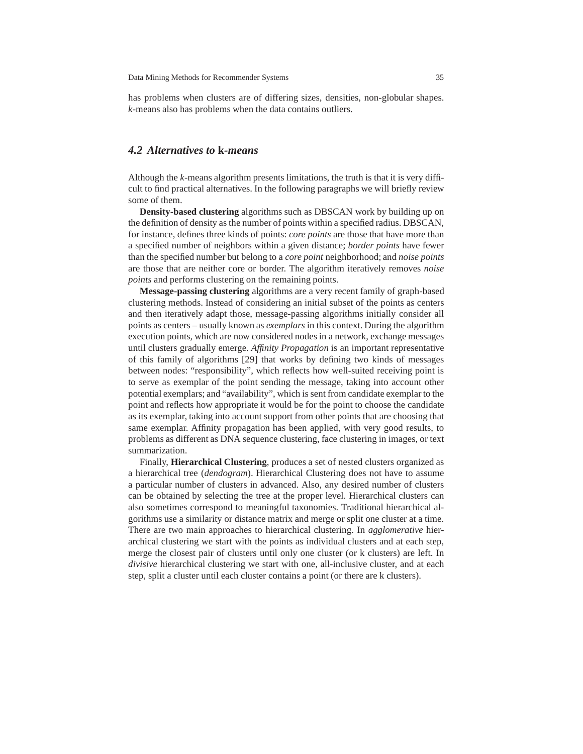has problems when clusters are of differing sizes, densities, non-globular shapes. *k*-means also has problems when the data contains outliers.

# <span id="page-34-0"></span>*4.2 Alternatives to* **k***-means*

Although the *k*-means algorithm presents limitations, the truth is that it is very difficult to find practical alternatives. In the following paragraphs we will briefly review some of them.

**Density-based clustering** algorithms such as DBSCAN work by building up on the definition of density as the number of points within a specified radius. DBSCAN, for instance, defines three kinds of points: *core points* are those that have more than a specified number of neighbors within a given distance; *border points* have fewer than the specified number but belong to a *core point* neighborhood; and *noise points* are those that are neither core or border. The algorithm iteratively removes *noise points* and performs clustering on the remaining points.

**Message-passing clustering** algorithms are a very recent family of graph-based clustering methods. Instead of considering an initial subset of the points as centers and then iteratively adapt those, message-passing algorithms initially consider all points as centers – usually known as *exemplars* in this context. During the algorithm execution points, which are now considered nodes in a network, exchange messages until clusters gradually emerge. *Affinity Propagation* is an important representative of this family of algorithms [29] that works by defining two kinds of messages between nodes: "responsibility", which reflects how well-suited receiving point is to serve as exemplar of the point sending the message, taking into account other potential exemplars; and "availability", which is sent from candidate exemplar to the point and reflects how appropriate it would be for the point to choose the candidate as its exemplar, taking into account support from other points that are choosing that same exemplar. Affinity propagation has been applied, with very good results, to problems as different as DNA sequence clustering, face clustering in images, or text summarization.

Finally, **Hierarchical Clustering**, produces a set of nested clusters organized as a hierarchical tree (*dendogram*). Hierarchical Clustering does not have to assume a particular number of clusters in advanced. Also, any desired number of clusters can be obtained by selecting the tree at the proper level. Hierarchical clusters can also sometimes correspond to meaningful taxonomies. Traditional hierarchical algorithms use a similarity or distance matrix and merge or split one cluster at a time. There are two main approaches to hierarchical clustering. In *agglomerative* hierarchical clustering we start with the points as individual clusters and at each step, merge the closest pair of clusters until only one cluster (or k clusters) are left. In *divisive* hierarchical clustering we start with one, all-inclusive cluster, and at each step, split a cluster until each cluster contains a point (or there are k clusters).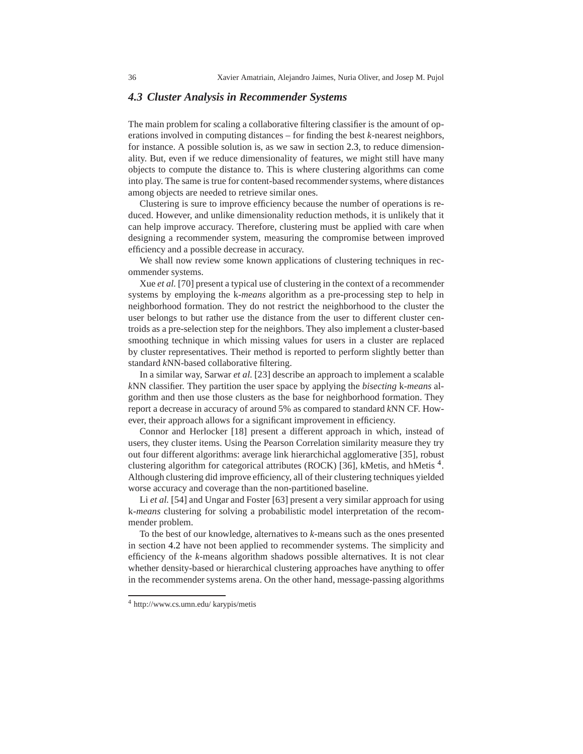### *4.3 Cluster Analysis in Recommender Systems*

The main problem for scaling a collaborative filtering classifier is the amount of operations involved in computing distances – for finding the best *k*-nearest neighbors, for instance. A possible solution is, as we saw in section [2.3,](#page-6-0) to reduce dimensionality. But, even if we reduce dimensionality of features, we might still have many objects to compute the distance to. This is where clustering algorithms can come into play. The same is true for content-based recommender systems, where distances among objects are needed to retrieve similar ones.

Clustering is sure to improve efficiency because the number of operations is reduced. However, and unlike dimensionality reduction methods, it is unlikely that it can help improve accuracy. Therefore, clustering must be applied with care when designing a recommender system, measuring the compromise between improved efficiency and a possible decrease in accuracy.

We shall now review some known applications of clustering techniques in recommender systems.

Xue *et al.* [70] present a typical use of clustering in the context of a recommender systems by employing the k*-means* algorithm as a pre-processing step to help in neighborhood formation. They do not restrict the neighborhood to the cluster the user belongs to but rather use the distance from the user to different cluster centroids as a pre-selection step for the neighbors. They also implement a cluster-based smoothing technique in which missing values for users in a cluster are replaced by cluster representatives. Their method is reported to perform slightly better than standard *k*NN-based collaborative filtering.

In a similar way, Sarwar *et al.* [23] describe an approach to implement a scalable *k*NN classifier. They partition the user space by applying the *bisecting* k*-means* algorithm and then use those clusters as the base for neighborhood formation. They report a decrease in accuracy of around 5% as compared to standard *k*NN CF. However, their approach allows for a significant improvement in efficiency.

Connor and Herlocker [18] present a different approach in which, instead of users, they cluster items. Using the Pearson Correlation similarity measure they try out four different algorithms: average link hierarchichal agglomerative [35], robust clustering algorithm for categorical attributes (ROCK) [36], kMetis, and hMetis<sup>4</sup>. Although clustering did improve efficiency, all of their clustering techniques yielded worse accuracy and coverage than the non-partitioned baseline.

Li *et al.* [54] and Ungar and Foster [63] present a very similar approach for using k*-means* clustering for solving a probabilistic model interpretation of the recommender problem.

To the best of our knowledge, alternatives to *k*-means such as the ones presented in section [4.2](#page-34-0) have not been applied to recommender systems. The simplicity and efficiency of the *k*-means algorithm shadows possible alternatives. It is not clear whether density-based or hierarchical clustering approaches have anything to offer in the recommender systems arena. On the other hand, message-passing algorithms

<sup>4</sup> http://www.cs.umn.edu/ karypis/metis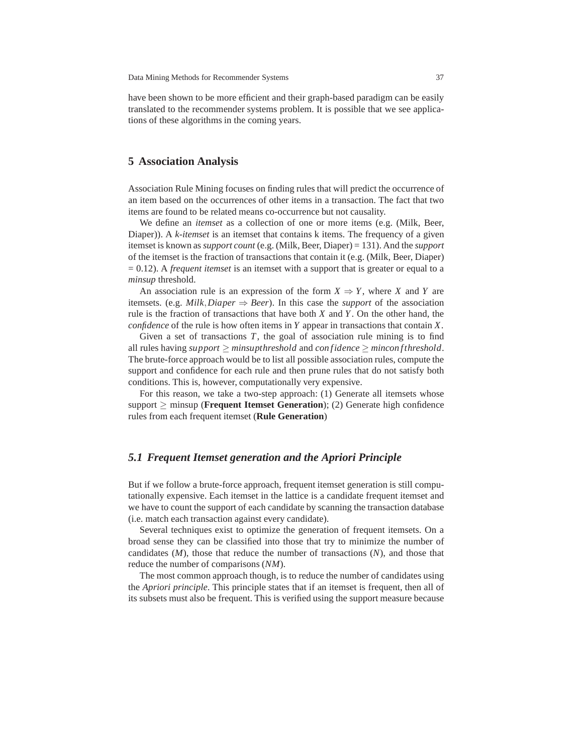have been shown to be more efficient and their graph-based paradigm can be easily translated to the recommender systems problem. It is possible that we see applications of these algorithms in the coming years.

# <span id="page-36-0"></span>**5 Association Analysis**

Association Rule Mining focuses on finding rules that will predict the occurrence of an item based on the occurrences of other items in a transaction. The fact that two items are found to be related means co-occurrence but not causality.

We define an *itemset* as a collection of one or more items (e.g. (Milk, Beer, Diaper)). A *k-itemset* is an itemset that contains k items. The frequency of a given itemset is known as *support count* (e.g. (Milk, Beer, Diaper) = 131). And the *support* of the itemset is the fraction of transactions that contain it (e.g. (Milk, Beer, Diaper) = 0.12). A *frequent itemset* is an itemset with a support that is greater or equal to a *minsup* threshold.

An association rule is an expression of the form  $X \Rightarrow Y$ , where X and Y are itemsets. (e.g. *Milk*, *Diaper*  $\Rightarrow$  *Beer*). In this case the *support* of the association rule is the fraction of transactions that have both *X* and *Y*. On the other hand, the *confidence* of the rule is how often items in *Y* appear in transactions that contain *X*.

Given a set of transactions  $T$ , the goal of association rule mining is to find all rules having *support* ≥ *minsupthreshold* and *con fidence* ≥ *mincon fthreshold*. The brute-force approach would be to list all possible association rules, compute the support and confidence for each rule and then prune rules that do not satisfy both conditions. This is, however, computationally very expensive.

For this reason, we take a two-step approach: (1) Generate all itemsets whose support ≥ minsup (**Frequent Itemset Generation**); (2) Generate high confidence rules from each frequent itemset (**Rule Generation**)

# *5.1 Frequent Itemset generation and the Apriori Principle*

But if we follow a brute-force approach, frequent itemset generation is still computationally expensive. Each itemset in the lattice is a candidate frequent itemset and we have to count the support of each candidate by scanning the transaction database (i.e. match each transaction against every candidate).

Several techniques exist to optimize the generation of frequent itemsets. On a broad sense they can be classified into those that try to minimize the number of candidates (*M*), those that reduce the number of transactions (*N*), and those that reduce the number of comparisons (*NM*).

The most common approach though, is to reduce the number of candidates using the *Apriori principle*. This principle states that if an itemset is frequent, then all of its subsets must also be frequent. This is verified using the support measure because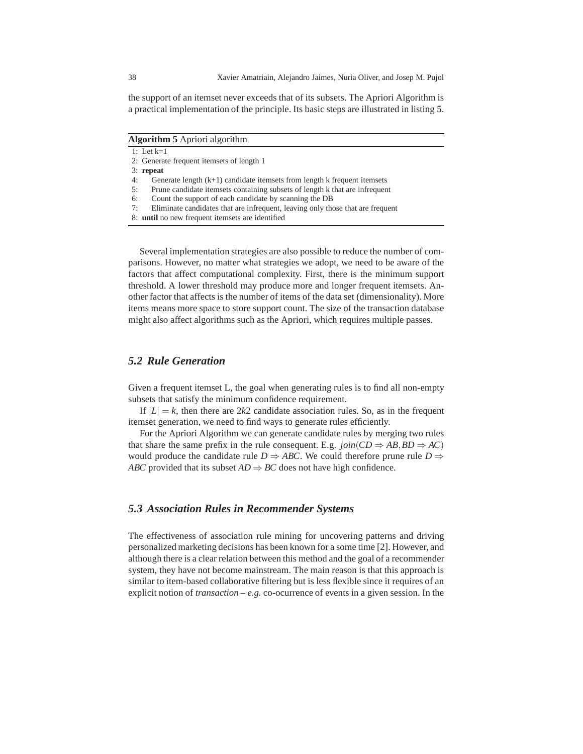the support of an itemset never exceeds that of its subsets. The Apriori Algorithm is a practical implementation of the principle. Its basic steps are illustrated in listing [5.](#page-37-0)

<span id="page-37-0"></span>

| <b>Algorithm 5</b> Apriori algorithm                                                 |  |  |  |
|--------------------------------------------------------------------------------------|--|--|--|
| 1: Let $k=1$                                                                         |  |  |  |
| 2: Generate frequent itemsets of length 1                                            |  |  |  |
| $3:$ repeat                                                                          |  |  |  |
| Generate length $(k+1)$ candidate itemsets from length k frequent itemsets<br>4:     |  |  |  |
| Prune candidate itemsets containing subsets of length k that are infrequent<br>5:    |  |  |  |
| Count the support of each candidate by scanning the DB<br>6:                         |  |  |  |
| Eliminate candidates that are infrequent, leaving only those that are frequent<br>7: |  |  |  |
| 8: <b>until</b> no new frequent itemsets are identified                              |  |  |  |

Several implementation strategies are also possible to reduce the number of comparisons. However, no matter what strategies we adopt, we need to be aware of the factors that affect computational complexity. First, there is the minimum support threshold. A lower threshold may produce more and longer frequent itemsets. Another factor that affects is the number of items of the data set (dimensionality). More items means more space to store support count. The size of the transaction database might also affect algorithms such as the Apriori, which requires multiple passes.

# *5.2 Rule Generation*

Given a frequent itemset L, the goal when generating rules is to find all non-empty subsets that satisfy the minimum confidence requirement.

If  $|L| = k$ , then there are  $2k2$  candidate association rules. So, as in the frequent itemset generation, we need to find ways to generate rules efficiently.

For the Apriori Algorithm we can generate candidate rules by merging two rules that share the same prefix in the rule consequent. E.g.  $\text{join}(CD \Rightarrow AB, BD \Rightarrow AC)$ would produce the candidate rule  $D \Rightarrow ABC$ . We could therefore prune rule  $D \Rightarrow$ *ABC* provided that its subset  $AD \Rightarrow BC$  does not have high confidence.

# *5.3 Association Rules in Recommender Systems*

The effectiveness of association rule mining for uncovering patterns and driving personalized marketing decisions has been known for a some time [2]. However, and although there is a clear relation between this method and the goal of a recommender system, they have not become mainstream. The main reason is that this approach is similar to item-based collaborative filtering but is less flexible since it requires of an explicit notion of *transaction* – *e.g.* co-ocurrence of events in a given session. In the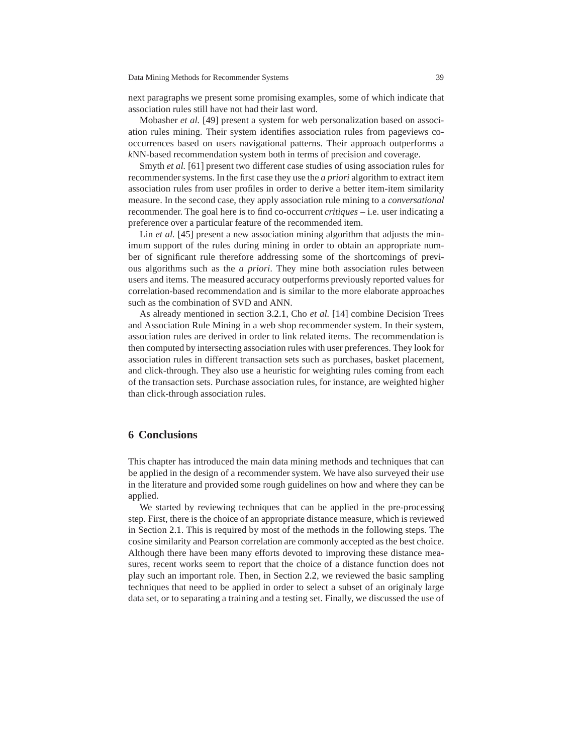next paragraphs we present some promising examples, some of which indicate that association rules still have not had their last word.

Mobasher *et al.* [49] present a system for web personalization based on association rules mining. Their system identifies association rules from pageviews cooccurrences based on users navigational patterns. Their approach outperforms a *k*NN-based recommendation system both in terms of precision and coverage.

Smyth *et al.* [61] present two different case studies of using association rules for recommender systems. In the first case they use the *a priori* algorithm to extract item association rules from user profiles in order to derive a better item-item similarity measure. In the second case, they apply association rule mining to a *conversational* recommender. The goal here is to find co-occurrent *critiques* – i.e. user indicating a preference over a particular feature of the recommended item.

Lin *et al.* [45] present a new association mining algorithm that adjusts the minimum support of the rules during mining in order to obtain an appropriate number of significant rule therefore addressing some of the shortcomings of previous algorithms such as the *a priori*. They mine both association rules between users and items. The measured accuracy outperforms previously reported values for correlation-based recommendation and is similar to the more elaborate approaches such as the combination of SVD and ANN.

As already mentioned in section [3.2.1,](#page-16-1) Cho *et al.* [14] combine Decision Trees and Association Rule Mining in a web shop recommender system. In their system, association rules are derived in order to link related items. The recommendation is then computed by intersecting association rules with user preferences. They look for association rules in different transaction sets such as purchases, basket placement, and click-through. They also use a heuristic for weighting rules coming from each of the transaction sets. Purchase association rules, for instance, are weighted higher than click-through association rules.

# **6 Conclusions**

This chapter has introduced the main data mining methods and techniques that can be applied in the design of a recommender system. We have also surveyed their use in the literature and provided some rough guidelines on how and where they can be applied.

We started by reviewing techniques that can be applied in the pre-processing step. First, there is the choice of an appropriate distance measure, which is reviewed in Section [2.1.](#page-3-2) This is required by most of the methods in the following steps. The cosine similarity and Pearson correlation are commonly accepted as the best choice. Although there have been many efforts devoted to improving these distance measures, recent works seem to report that the choice of a distance function does not play such an important role. Then, in Section [2.2,](#page-4-0) we reviewed the basic sampling techniques that need to be applied in order to select a subset of an originaly large data set, or to separating a training and a testing set. Finally, we discussed the use of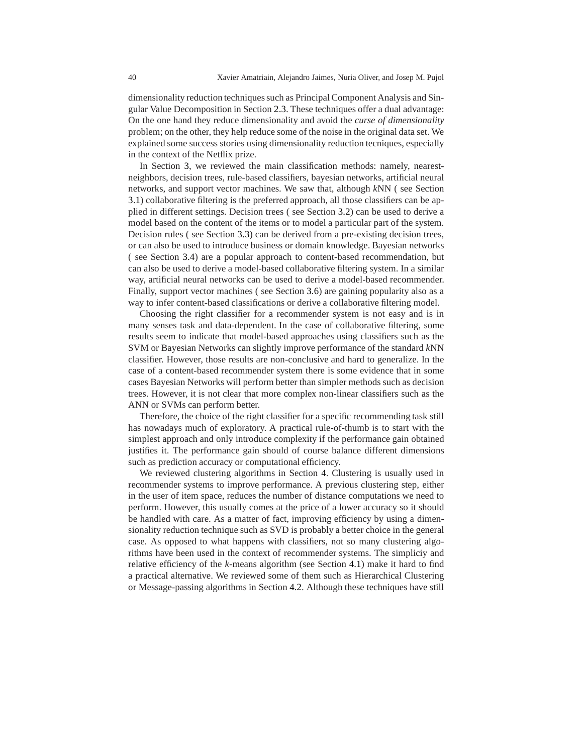dimensionality reduction techniques such as Principal Component Analysis and Singular Value Decomposition in Section [2.3.](#page-6-0) These techniques offer a dual advantage: On the one hand they reduce dimensionality and avoid the *curse of dimensionality* problem; on the other, they help reduce some of the noise in the original data set. We explained some success stories using dimensionality reduction tecniques, especially in the context of the Netflix prize.

In Section [3,](#page-10-0) we reviewed the main classification methods: namely, nearestneighbors, decision trees, rule-based classifiers, bayesian networks, artificial neural networks, and support vector machines. We saw that, although *k*NN ( see Section [3.1\)](#page-11-0) collaborative filtering is the preferred approach, all those classifiers can be applied in different settings. Decision trees ( see Section [3.2\)](#page-13-1) can be used to derive a model based on the content of the items or to model a particular part of the system. Decision rules ( see Section [3.3\)](#page-16-0) can be derived from a pre-existing decision trees, or can also be used to introduce business or domain knowledge. Bayesian networks ( see Section [3.4\)](#page-17-0) are a popular approach to content-based recommendation, but can also be used to derive a model-based collaborative filtering system. In a similar way, artificial neural networks can be used to derive a model-based recommender. Finally, support vector machines ( see Section [3.6\)](#page-24-1) are gaining popularity also as a way to infer content-based classifications or derive a collaborative filtering model.

Choosing the right classifier for a recommender system is not easy and is in many senses task and data-dependent. In the case of collaborative filtering, some results seem to indicate that model-based approaches using classifiers such as the SVM or Bayesian Networks can slightly improve performance of the standard *k*NN classifier. However, those results are non-conclusive and hard to generalize. In the case of a content-based recommender system there is some evidence that in some cases Bayesian Networks will perform better than simpler methods such as decision trees. However, it is not clear that more complex non-linear classifiers such as the ANN or SVMs can perform better.

Therefore, the choice of the right classifier for a specific recommending task still has nowadays much of exploratory. A practical rule-of-thumb is to start with the simplest approach and only introduce complexity if the performance gain obtained justifies it. The performance gain should of course balance different dimensions such as prediction accuracy or computational efficiency.

We reviewed clustering algorithms in Section [4.](#page-31-0) Clustering is usually used in recommender systems to improve performance. A previous clustering step, either in the user of item space, reduces the number of distance computations we need to perform. However, this usually comes at the price of a lower accuracy so it should be handled with care. As a matter of fact, improving efficiency by using a dimensionality reduction technique such as SVD is probably a better choice in the general case. As opposed to what happens with classifiers, not so many clustering algorithms have been used in the context of recommender systems. The simpliciy and relative efficiency of the *k*-means algorithm (see Section [4.1\)](#page-32-1) make it hard to find a practical alternative. We reviewed some of them such as Hierarchical Clustering or Message-passing algorithms in Section [4.2.](#page-34-0) Although these techniques have still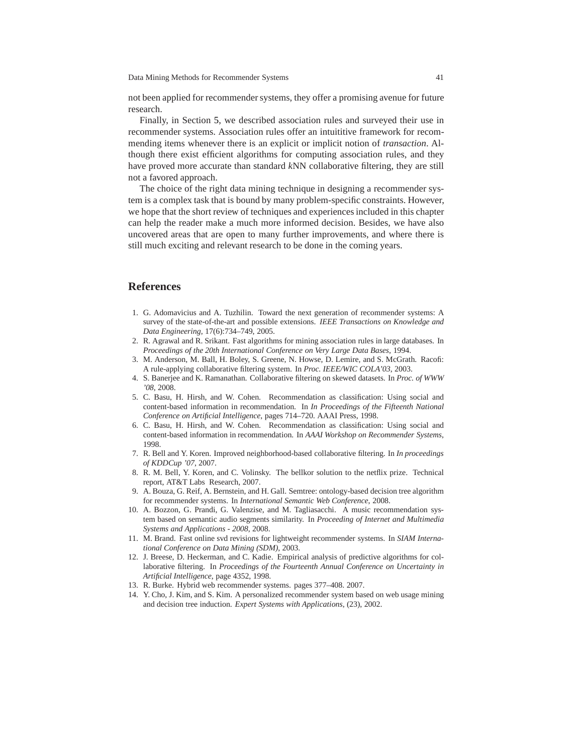not been applied for recommender systems, they offer a promising avenue for future research.

Finally, in Section [5,](#page-36-0) we described association rules and surveyed their use in recommender systems. Association rules offer an intuititive framework for recommending items whenever there is an explicit or implicit notion of *transaction*. Although there exist efficient algorithms for computing association rules, and they have proved more accurate than standard *k*NN collaborative filtering, they are still not a favored approach.

The choice of the right data mining technique in designing a recommender system is a complex task that is bound by many problem-specific constraints. However, we hope that the short review of techniques and experiences included in this chapter can help the reader make a much more informed decision. Besides, we have also uncovered areas that are open to many further improvements, and where there is still much exciting and relevant research to be done in the coming years.

# **References**

- 1. G. Adomavicius and A. Tuzhilin. Toward the next generation of recommender systems: A survey of the state-of-the-art and possible extensions. *IEEE Transactions on Knowledge and Data Engineering*, 17(6):734–749, 2005.
- 2. R. Agrawal and R. Srikant. Fast algorithms for mining association rules in large databases. In *Proceedings of the 20th International Conference on Very Large Data Bases*, 1994.
- 3. M. Anderson, M. Ball, H. Boley, S. Greene, N. Howse, D. Lemire, and S. McGrath. Racofi: A rule-applying collaborative filtering system. In *Proc. IEEE/WIC COLA'03*, 2003.
- 4. S. Banerjee and K. Ramanathan. Collaborative filtering on skewed datasets. In *Proc. of WWW '08*, 2008.
- 5. C. Basu, H. Hirsh, and W. Cohen. Recommendation as classification: Using social and content-based information in recommendation. In *In Proceedings of the Fifteenth National Conference on Artificial Intelligence*, pages 714–720. AAAI Press, 1998.
- 6. C. Basu, H. Hirsh, and W. Cohen. Recommendation as classification: Using social and content-based information in recommendation. In *AAAI Workshop on Recommender Systems*, 1998.
- 7. R. Bell and Y. Koren. Improved neighborhood-based collaborative filtering. In *In proceedings of KDDCup '07*, 2007.
- 8. R. M. Bell, Y. Koren, and C. Volinsky. The bellkor solution to the netflix prize. Technical report, AT&T Labs Research, 2007.
- 9. A. Bouza, G. Reif, A. Bernstein, and H. Gall. Semtree: ontology-based decision tree algorithm for recommender systems. In *International Semantic Web Conference*, 2008.
- 10. A. Bozzon, G. Prandi, G. Valenzise, and M. Tagliasacchi. A music recommendation system based on semantic audio segments similarity. In *Proceeding of Internet and Multimedia Systems and Applications - 2008*, 2008.
- 11. M. Brand. Fast online svd revisions for lightweight recommender systems. In *SIAM International Conference on Data Mining (SDM)*, 2003.
- 12. J. Breese, D. Heckerman, and C. Kadie. Empirical analysis of predictive algorithms for collaborative filtering. In *Proceedings of the Fourteenth Annual Conference on Uncertainty in Artificial Intelligence*, page 4352, 1998.
- 13. R. Burke. Hybrid web recommender systems. pages 377–408. 2007.
- 14. Y. Cho, J. Kim, and S. Kim. A personalized recommender system based on web usage mining and decision tree induction. *Expert Systems with Applications*, (23), 2002.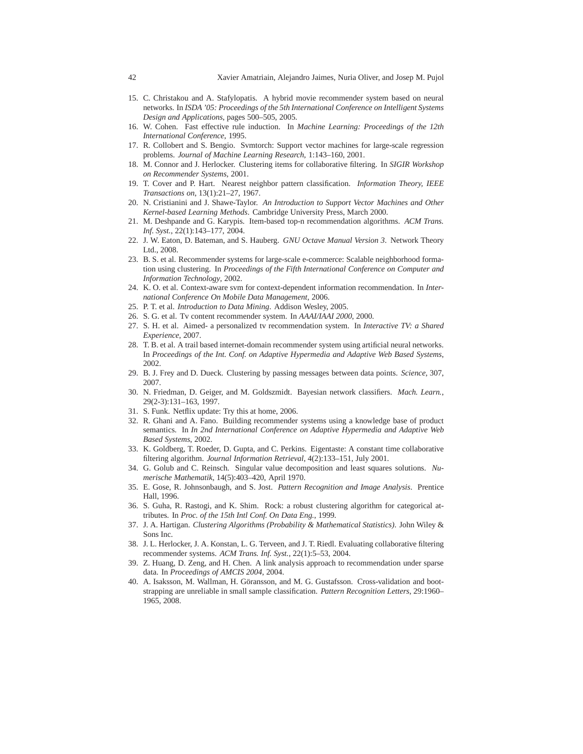- 15. C. Christakou and A. Stafylopatis. A hybrid movie recommender system based on neural networks. In *ISDA '05: Proceedings of the 5th International Conference on Intelligent Systems Design and Applications*, pages 500–505, 2005.
- 16. W. Cohen. Fast effective rule induction. In *Machine Learning: Proceedings of the 12th International Conference*, 1995.
- 17. R. Collobert and S. Bengio. Svmtorch: Support vector machines for large-scale regression problems. *Journal of Machine Learning Research*, 1:143–160, 2001.
- 18. M. Connor and J. Herlocker. Clustering items for collaborative filtering. In *SIGIR Workshop on Recommender Systems*, 2001.
- 19. T. Cover and P. Hart. Nearest neighbor pattern classification. *Information Theory, IEEE Transactions on*, 13(1):21–27, 1967.
- 20. N. Cristianini and J. Shawe-Taylor. *An Introduction to Support Vector Machines and Other Kernel-based Learning Methods*. Cambridge University Press, March 2000.
- 21. M. Deshpande and G. Karypis. Item-based top-n recommendation algorithms. *ACM Trans. Inf. Syst.*, 22(1):143–177, 2004.
- 22. J. W. Eaton, D. Bateman, and S. Hauberg. *GNU Octave Manual Version 3*. Network Theory Ltd., 2008.
- 23. B. S. et al. Recommender systems for large-scale e-commerce: Scalable neighborhood formation using clustering. In *Proceedings of the Fifth International Conference on Computer and Information Technology*, 2002.
- 24. K. O. et al. Context-aware svm for context-dependent information recommendation. In *International Conference On Mobile Data Management*, 2006.
- 25. P. T. et al. *Introduction to Data Mining*. Addison Wesley, 2005.
- 26. S. G. et al. Tv content recommender system. In *AAAI/IAAI 2000*, 2000.
- 27. S. H. et al. Aimed- a personalized tv recommendation system. In *Interactive TV: a Shared Experience*, 2007.
- 28. T. B. et al. A trail based internet-domain recommender system using artificial neural networks. In *Proceedings of the Int. Conf. on Adaptive Hypermedia and Adaptive Web Based Systems*, 2002.
- 29. B. J. Frey and D. Dueck. Clustering by passing messages between data points. *Science*, 307, 2007.
- 30. N. Friedman, D. Geiger, and M. Goldszmidt. Bayesian network classifiers. *Mach. Learn.*, 29(2-3):131–163, 1997.
- 31. S. Funk. Netflix update: Try this at home, 2006.
- 32. R. Ghani and A. Fano. Building recommender systems using a knowledge base of product semantics. In *In 2nd International Conference on Adaptive Hypermedia and Adaptive Web Based Systems*, 2002.
- 33. K. Goldberg, T. Roeder, D. Gupta, and C. Perkins. Eigentaste: A constant time collaborative filtering algorithm. *Journal Information Retrieval*, 4(2):133–151, July 2001.
- 34. G. Golub and C. Reinsch. Singular value decomposition and least squares solutions. *Numerische Mathematik*, 14(5):403–420, April 1970.
- 35. E. Gose, R. Johnsonbaugh, and S. Jost. *Pattern Recognition and Image Analysis*. Prentice Hall, 1996.
- 36. S. Guha, R. Rastogi, and K. Shim. Rock: a robust clustering algorithm for categorical attributes. In *Proc. of the 15th Intl Conf. On Data Eng.*, 1999.
- 37. J. A. Hartigan. *Clustering Algorithms (Probability & Mathematical Statistics)*. John Wiley & Sons Inc.
- 38. J. L. Herlocker, J. A. Konstan, L. G. Terveen, and J. T. Riedl. Evaluating collaborative filtering recommender systems. *ACM Trans. Inf. Syst.*, 22(1):5–53, 2004.
- 39. Z. Huang, D. Zeng, and H. Chen. A link analysis approach to recommendation under sparse data. In *Proceedings of AMCIS 2004*, 2004.
- 40. A. Isaksson, M. Wallman, H. Göransson, and M. G. Gustafsson. Cross-validation and bootstrapping are unreliable in small sample classification. *Pattern Recognition Letters*, 29:1960– 1965, 2008.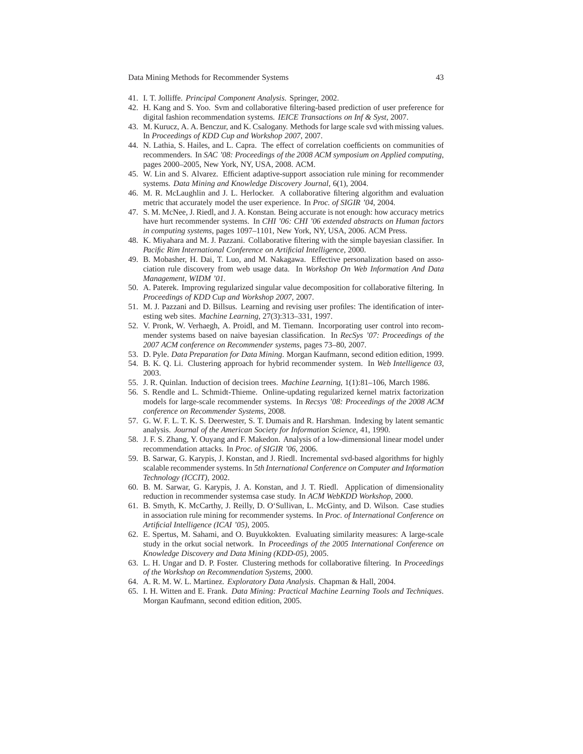- 41. I. T. Jolliffe. *Principal Component Analysis*. Springer, 2002.
- 42. H. Kang and S. Yoo. Svm and collaborative filtering-based prediction of user preference for digital fashion recommendation systems. *IEICE Transactions on Inf & Syst*, 2007.
- 43. M. Kurucz, A. A. Benczur, and K. Csalogany. Methods for large scale svd with missing values. In *Proceedings of KDD Cup and Workshop 2007*, 2007.
- 44. N. Lathia, S. Hailes, and L. Capra. The effect of correlation coefficients on communities of recommenders. In *SAC '08: Proceedings of the 2008 ACM symposium on Applied computing*, pages 2000–2005, New York, NY, USA, 2008. ACM.
- 45. W. Lin and S. Alvarez. Efficient adaptive-support association rule mining for recommender systems. *Data Mining and Knowledge Discovery Journal*, 6(1), 2004.
- 46. M. R. McLaughlin and J. L. Herlocker. A collaborative filtering algorithm and evaluation metric that accurately model the user experience. In *Proc. of SIGIR '04*, 2004.
- 47. S. M. McNee, J. Riedl, and J. A. Konstan. Being accurate is not enough: how accuracy metrics have hurt recommender systems. In *CHI '06: CHI '06 extended abstracts on Human factors in computing systems*, pages 1097–1101, New York, NY, USA, 2006. ACM Press.
- 48. K. Miyahara and M. J. Pazzani. Collaborative filtering with the simple bayesian classifier. In *Pacific Rim International Conference on Artificial Intelligence*, 2000.
- 49. B. Mobasher, H. Dai, T. Luo, and M. Nakagawa. Effective personalization based on association rule discovery from web usage data. In *Workshop On Web Information And Data Management, WIDM '01*.
- 50. A. Paterek. Improving regularized singular value decomposition for collaborative filtering. In *Proceedings of KDD Cup and Workshop 2007*, 2007.
- 51. M. J. Pazzani and D. Billsus. Learning and revising user profiles: The identification of interesting web sites. *Machine Learning*, 27(3):313–331, 1997.
- 52. V. Pronk, W. Verhaegh, A. Proidl, and M. Tiemann. Incorporating user control into recommender systems based on naive bayesian classification. In *RecSys '07: Proceedings of the 2007 ACM conference on Recommender systems*, pages 73–80, 2007.
- 53. D. Pyle. *Data Preparation for Data Mining*. Morgan Kaufmann, second edition edition, 1999.
- 54. B. K. Q. Li. Clustering approach for hybrid recommender system. In *Web Intelligence 03*, 2003.
- 55. J. R. Quinlan. Induction of decision trees. *Machine Learning*, 1(1):81–106, March 1986.
- 56. S. Rendle and L. Schmidt-Thieme. Online-updating regularized kernel matrix factorization models for large-scale recommender systems. In *Recsys '08: Proceedings of the 2008 ACM conference on Recommender Systems*, 2008.
- 57. G. W. F. L. T. K. S. Deerwester, S. T. Dumais and R. Harshman. Indexing by latent semantic analysis. *Journal of the American Society for Information Science*, 41, 1990.
- 58. J. F. S. Zhang, Y. Ouyang and F. Makedon. Analysis of a low-dimensional linear model under recommendation attacks. In *Proc. of SIGIR '06*, 2006.
- 59. B. Sarwar, G. Karypis, J. Konstan, and J. Riedl. Incremental svd-based algorithms for highly scalable recommender systems. In *5th International Conference on Computer and Information Technology (ICCIT)*, 2002.
- 60. B. M. Sarwar, G. Karypis, J. A. Konstan, and J. T. Riedl. Application of dimensionality reduction in recommender systemsa case study. In *ACM WebKDD Workshop*, 2000.
- 61. B. Smyth, K. McCarthy, J. Reilly, D. O'Sullivan, L. McGinty, and D. Wilson. Case studies in association rule mining for recommender systems. In *Proc. of International Conference on Artificial Intelligence (ICAI '05)*, 2005.
- 62. E. Spertus, M. Sahami, and O. Buyukkokten. Evaluating similarity measures: A large-scale study in the orkut social network. In *Proceedings of the 2005 International Conference on Knowledge Discovery and Data Mining (KDD-05)*, 2005.
- 63. L. H. Ungar and D. P. Foster. Clustering methods for collaborative filtering. In *Proceedings of the Workshop on Recommendation Systems*, 2000.
- 64. A. R. M. W. L. Martinez. *Exploratory Data Analysis*. Chapman & Hall, 2004.
- 65. I. H. Witten and E. Frank. *Data Mining: Practical Machine Learning Tools and Techniques*. Morgan Kaufmann, second edition edition, 2005.